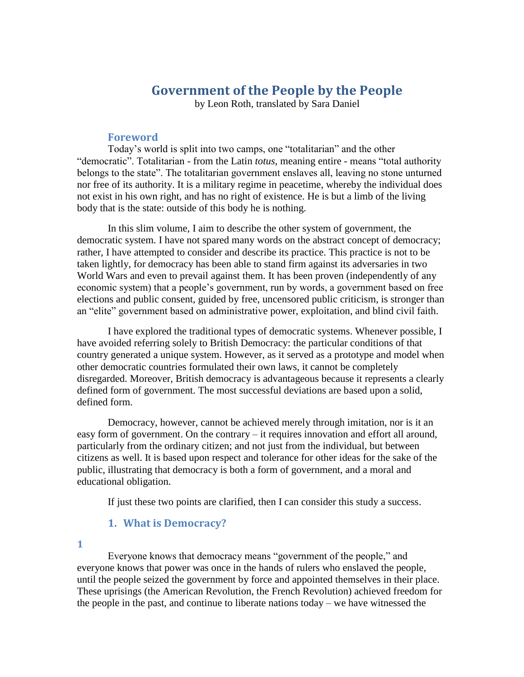# **Government of the People by the People**

by Leon Roth, translated by Sara Daniel

## **Foreword**

Today's world is split into two camps, one "totalitarian" and the other "democratic". Totalitarian - from the Latin *totus*, meaning entire - means "total authority belongs to the state". The totalitarian government enslaves all, leaving no stone unturned nor free of its authority. It is a military regime in peacetime, whereby the individual does not exist in his own right, and has no right of existence. He is but a limb of the living body that is the state: outside of this body he is nothing.

In this slim volume, I aim to describe the other system of government, the democratic system. I have not spared many words on the abstract concept of democracy; rather, I have attempted to consider and describe its practice. This practice is not to be taken lightly, for democracy has been able to stand firm against its adversaries in two World Wars and even to prevail against them. It has been proven (independently of any economic system) that a people's government, run by words, a government based on free elections and public consent, guided by free, uncensored public criticism, is stronger than an "elite" government based on administrative power, exploitation, and blind civil faith.

I have explored the traditional types of democratic systems. Whenever possible, I have avoided referring solely to British Democracy: the particular conditions of that country generated a unique system. However, as it served as a prototype and model when other democratic countries formulated their own laws, it cannot be completely disregarded. Moreover, British democracy is advantageous because it represents a clearly defined form of government. The most successful deviations are based upon a solid, defined form.

Democracy, however, cannot be achieved merely through imitation, nor is it an easy form of government. On the contrary – it requires innovation and effort all around, particularly from the ordinary citizen; and not just from the individual, but between citizens as well. It is based upon respect and tolerance for other ideas for the sake of the public, illustrating that democracy is both a form of government, and a moral and educational obligation.

If just these two points are clarified, then I can consider this study a success.

## **1. What is Democracy?**

**1**

Everyone knows that democracy means "government of the people," and everyone knows that power was once in the hands of rulers who enslaved the people, until the people seized the government by force and appointed themselves in their place. These uprisings (the American Revolution, the French Revolution) achieved freedom for the people in the past, and continue to liberate nations today – we have witnessed the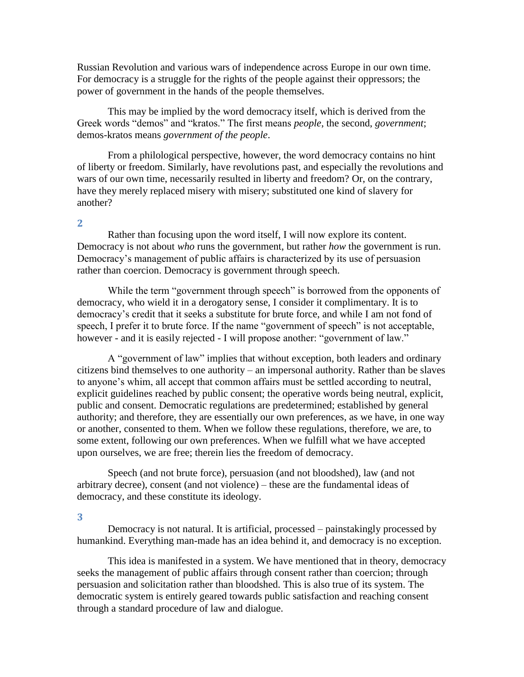Russian Revolution and various wars of independence across Europe in our own time. For democracy is a struggle for the rights of the people against their oppressors; the power of government in the hands of the people themselves.

This may be implied by the word democracy itself, which is derived from the Greek words "demos" and "kratos." The first means *people*, the second, *government*; demos-kratos means *government of the people*.

From a philological perspective, however, the word democracy contains no hint of liberty or freedom. Similarly, have revolutions past, and especially the revolutions and wars of our own time, necessarily resulted in liberty and freedom? Or, on the contrary, have they merely replaced misery with misery; substituted one kind of slavery for another?

### **2**

Rather than focusing upon the word itself, I will now explore its content. Democracy is not about *who* runs the government, but rather *how* the government is run. Democracy's management of public affairs is characterized by its use of persuasion rather than coercion. Democracy is government through speech.

While the term "government through speech" is borrowed from the opponents of democracy, who wield it in a derogatory sense, I consider it complimentary. It is to democracy's credit that it seeks a substitute for brute force, and while I am not fond of speech, I prefer it to brute force. If the name "government of speech" is not acceptable, however - and it is easily rejected - I will propose another: "government of law."

A "government of law" implies that without exception, both leaders and ordinary citizens bind themselves to one authority – an impersonal authority. Rather than be slaves to anyone's whim, all accept that common affairs must be settled according to neutral, explicit guidelines reached by public consent; the operative words being neutral, explicit, public and consent. Democratic regulations are predetermined; established by general authority; and therefore, they are essentially our own preferences, as we have, in one way or another, consented to them. When we follow these regulations, therefore, we are, to some extent, following our own preferences. When we fulfill what we have accepted upon ourselves, we are free; therein lies the freedom of democracy.

Speech (and not brute force), persuasion (and not bloodshed), law (and not arbitrary decree), consent (and not violence) – these are the fundamental ideas of democracy, and these constitute its ideology.

#### **3**

Democracy is not natural. It is artificial, processed – painstakingly processed by humankind. Everything man-made has an idea behind it, and democracy is no exception.

This idea is manifested in a system. We have mentioned that in theory, democracy seeks the management of public affairs through consent rather than coercion; through persuasion and solicitation rather than bloodshed. This is also true of its system. The democratic system is entirely geared towards public satisfaction and reaching consent through a standard procedure of law and dialogue.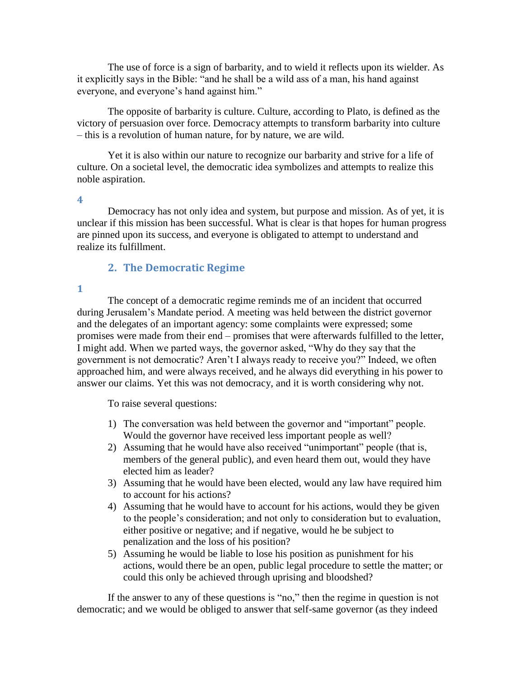The use of force is a sign of barbarity, and to wield it reflects upon its wielder. As it explicitly says in the Bible: "and he shall be a wild ass of a man, his hand against everyone, and everyone's hand against him."

The opposite of barbarity is culture. Culture, according to Plato, is defined as the victory of persuasion over force. Democracy attempts to transform barbarity into culture – this is a revolution of human nature, for by nature, we are wild.

Yet it is also within our nature to recognize our barbarity and strive for a life of culture. On a societal level, the democratic idea symbolizes and attempts to realize this noble aspiration.

### **4**

Democracy has not only idea and system, but purpose and mission. As of yet, it is unclear if this mission has been successful. What is clear is that hopes for human progress are pinned upon its success, and everyone is obligated to attempt to understand and realize its fulfillment.

## **2. The Democratic Regime**

### **1**

The concept of a democratic regime reminds me of an incident that occurred during Jerusalem's Mandate period. A meeting was held between the district governor and the delegates of an important agency: some complaints were expressed; some promises were made from their end – promises that were afterwards fulfilled to the letter, I might add. When we parted ways, the governor asked, "Why do they say that the government is not democratic? Aren't I always ready to receive you?" Indeed, we often approached him, and were always received, and he always did everything in his power to answer our claims. Yet this was not democracy, and it is worth considering why not.

To raise several questions:

- 1) The conversation was held between the governor and "important" people. Would the governor have received less important people as well?
- 2) Assuming that he would have also received "unimportant" people (that is, members of the general public), and even heard them out, would they have elected him as leader?
- 3) Assuming that he would have been elected, would any law have required him to account for his actions?
- 4) Assuming that he would have to account for his actions, would they be given to the people's consideration; and not only to consideration but to evaluation, either positive or negative; and if negative, would he be subject to penalization and the loss of his position?
- 5) Assuming he would be liable to lose his position as punishment for his actions, would there be an open, public legal procedure to settle the matter; or could this only be achieved through uprising and bloodshed?

If the answer to any of these questions is "no," then the regime in question is not democratic; and we would be obliged to answer that self-same governor (as they indeed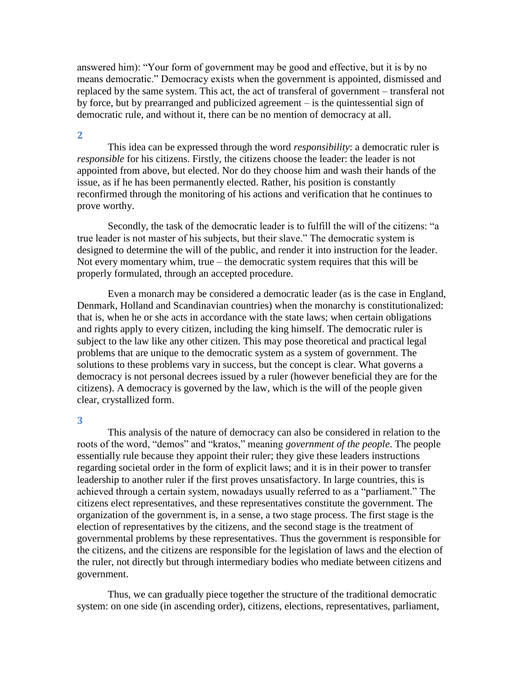answered him): "Your form of government may be good and effective, but it is by no means democratic." Democracy exists when the government is appointed, dismissed and replaced by the same system. This act, the act of transferal of government – transferal not by force, but by prearranged and publicized agreement – is the quintessential sign of democratic rule, and without it, there can be no mention of democracy at all.

#### **2**

This idea can be expressed through the word *responsibility*: a democratic ruler is *responsible* for his citizens. Firstly, the citizens choose the leader: the leader is not appointed from above, but elected. Nor do they choose him and wash their hands of the issue, as if he has been permanently elected. Rather, his position is constantly reconfirmed through the monitoring of his actions and verification that he continues to prove worthy.

Secondly, the task of the democratic leader is to fulfill the will of the citizens: "a true leader is not master of his subjects, but their slave." The democratic system is designed to determine the will of the public, and render it into instruction for the leader. Not every momentary whim, true – the democratic system requires that this will be properly formulated, through an accepted procedure.

Even a monarch may be considered a democratic leader (as is the case in England, Denmark, Holland and Scandinavian countries) when the monarchy is constitutionalized: that is, when he or she acts in accordance with the state laws; when certain obligations and rights apply to every citizen, including the king himself. The democratic ruler is subject to the law like any other citizen. This may pose theoretical and practical legal problems that are unique to the democratic system as a system of government. The solutions to these problems vary in success, but the concept is clear. What governs a democracy is not personal decrees issued by a ruler (however beneficial they are for the citizens). A democracy is governed by the law, which is the will of the people given clear, crystallized form.

#### **3**

This analysis of the nature of democracy can also be considered in relation to the roots of the word, "demos" and "kratos," meaning *government of the people*. The people essentially rule because they appoint their ruler; they give these leaders instructions regarding societal order in the form of explicit laws; and it is in their power to transfer leadership to another ruler if the first proves unsatisfactory. In large countries, this is achieved through a certain system, nowadays usually referred to as a "parliament." The citizens elect representatives, and these representatives constitute the government. The organization of the government is, in a sense, a two stage process. The first stage is the election of representatives by the citizens, and the second stage is the treatment of governmental problems by these representatives. Thus the government is responsible for the citizens, and the citizens are responsible for the legislation of laws and the election of the ruler, not directly but through intermediary bodies who mediate between citizens and government.

Thus, we can gradually piece together the structure of the traditional democratic system: on one side (in ascending order), citizens, elections, representatives, parliament,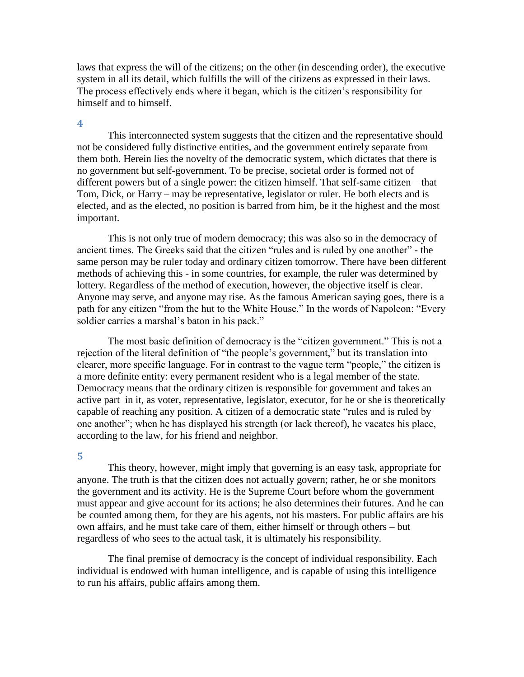laws that express the will of the citizens; on the other (in descending order), the executive system in all its detail, which fulfills the will of the citizens as expressed in their laws. The process effectively ends where it began, which is the citizen's responsibility for himself and to himself.

### **4**

This interconnected system suggests that the citizen and the representative should not be considered fully distinctive entities, and the government entirely separate from them both. Herein lies the novelty of the democratic system, which dictates that there is no government but self-government. To be precise, societal order is formed not of different powers but of a single power: the citizen himself. That self-same citizen – that Tom, Dick, or Harry – may be representative, legislator or ruler. He both elects and is elected, and as the elected, no position is barred from him, be it the highest and the most important.

This is not only true of modern democracy; this was also so in the democracy of ancient times. The Greeks said that the citizen "rules and is ruled by one another" - the same person may be ruler today and ordinary citizen tomorrow. There have been different methods of achieving this - in some countries, for example, the ruler was determined by lottery. Regardless of the method of execution, however, the objective itself is clear. Anyone may serve, and anyone may rise. As the famous American saying goes, there is a path for any citizen "from the hut to the White House." In the words of Napoleon: "Every soldier carries a marshal's baton in his pack."

The most basic definition of democracy is the "citizen government." This is not a rejection of the literal definition of "the people's government," but its translation into clearer, more specific language. For in contrast to the vague term "people," the citizen is a more definite entity: every permanent resident who is a legal member of the state. Democracy means that the ordinary citizen is responsible for government and takes an active part in it, as voter, representative, legislator, executor, for he or she is theoretically capable of reaching any position. A citizen of a democratic state "rules and is ruled by one another"; when he has displayed his strength (or lack thereof), he vacates his place, according to the law, for his friend and neighbor.

### **5**

This theory, however, might imply that governing is an easy task, appropriate for anyone. The truth is that the citizen does not actually govern; rather, he or she monitors the government and its activity. He is the Supreme Court before whom the government must appear and give account for its actions; he also determines their futures. And he can be counted among them, for they are his agents, not his masters. For public affairs are his own affairs, and he must take care of them, either himself or through others – but regardless of who sees to the actual task, it is ultimately his responsibility.

The final premise of democracy is the concept of individual responsibility. Each individual is endowed with human intelligence, and is capable of using this intelligence to run his affairs, public affairs among them.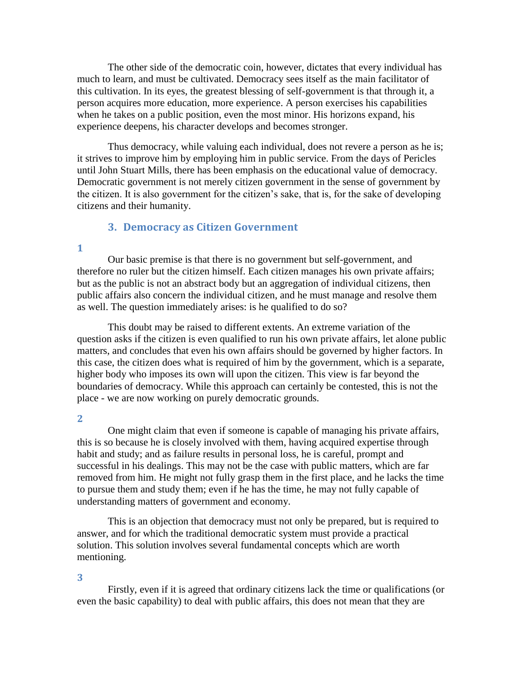The other side of the democratic coin, however, dictates that every individual has much to learn, and must be cultivated. Democracy sees itself as the main facilitator of this cultivation. In its eyes, the greatest blessing of self-government is that through it, a person acquires more education, more experience. A person exercises his capabilities when he takes on a public position, even the most minor. His horizons expand, his experience deepens, his character develops and becomes stronger.

Thus democracy, while valuing each individual, does not revere a person as he is; it strives to improve him by employing him in public service. From the days of Pericles until John Stuart Mills, there has been emphasis on the educational value of democracy. Democratic government is not merely citizen government in the sense of government by the citizen. It is also government for the citizen's sake, that is, for the sake of developing citizens and their humanity.

## **3. Democracy as Citizen Government**

#### **1**

Our basic premise is that there is no government but self-government, and therefore no ruler but the citizen himself. Each citizen manages his own private affairs; but as the public is not an abstract body but an aggregation of individual citizens, then public affairs also concern the individual citizen, and he must manage and resolve them as well. The question immediately arises: is he qualified to do so?

This doubt may be raised to different extents. An extreme variation of the question asks if the citizen is even qualified to run his own private affairs, let alone public matters, and concludes that even his own affairs should be governed by higher factors. In this case, the citizen does what is required of him by the government, which is a separate, higher body who imposes its own will upon the citizen. This view is far beyond the boundaries of democracy. While this approach can certainly be contested, this is not the place - we are now working on purely democratic grounds.

#### **2**

One might claim that even if someone is capable of managing his private affairs, this is so because he is closely involved with them, having acquired expertise through habit and study; and as failure results in personal loss, he is careful, prompt and successful in his dealings. This may not be the case with public matters, which are far removed from him. He might not fully grasp them in the first place, and he lacks the time to pursue them and study them; even if he has the time, he may not fully capable of understanding matters of government and economy.

This is an objection that democracy must not only be prepared, but is required to answer, and for which the traditional democratic system must provide a practical solution. This solution involves several fundamental concepts which are worth mentioning.

### **3**

Firstly, even if it is agreed that ordinary citizens lack the time or qualifications (or even the basic capability) to deal with public affairs, this does not mean that they are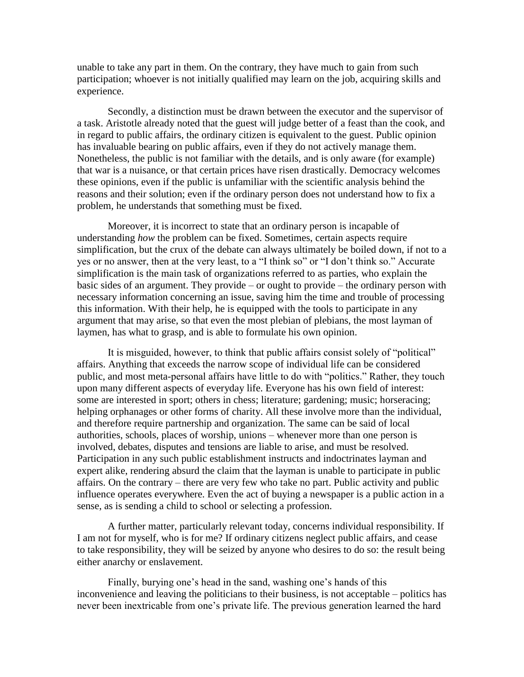unable to take any part in them. On the contrary, they have much to gain from such participation; whoever is not initially qualified may learn on the job, acquiring skills and experience.

Secondly, a distinction must be drawn between the executor and the supervisor of a task. Aristotle already noted that the guest will judge better of a feast than the cook, and in regard to public affairs, the ordinary citizen is equivalent to the guest. Public opinion has invaluable bearing on public affairs, even if they do not actively manage them. Nonetheless, the public is not familiar with the details, and is only aware (for example) that war is a nuisance, or that certain prices have risen drastically. Democracy welcomes these opinions, even if the public is unfamiliar with the scientific analysis behind the reasons and their solution; even if the ordinary person does not understand how to fix a problem, he understands that something must be fixed.

Moreover, it is incorrect to state that an ordinary person is incapable of understanding *how* the problem can be fixed. Sometimes, certain aspects require simplification, but the crux of the debate can always ultimately be boiled down, if not to a yes or no answer, then at the very least, to a "I think so" or "I don't think so." Accurate simplification is the main task of organizations referred to as parties, who explain the basic sides of an argument. They provide – or ought to provide – the ordinary person with necessary information concerning an issue, saving him the time and trouble of processing this information. With their help, he is equipped with the tools to participate in any argument that may arise, so that even the most plebian of plebians, the most layman of laymen, has what to grasp, and is able to formulate his own opinion.

It is misguided, however, to think that public affairs consist solely of "political" affairs. Anything that exceeds the narrow scope of individual life can be considered public, and most meta-personal affairs have little to do with "politics." Rather, they touch upon many different aspects of everyday life. Everyone has his own field of interest: some are interested in sport; others in chess; literature; gardening; music; horseracing; helping orphanages or other forms of charity. All these involve more than the individual, and therefore require partnership and organization. The same can be said of local authorities, schools, places of worship, unions – whenever more than one person is involved, debates, disputes and tensions are liable to arise, and must be resolved. Participation in any such public establishment instructs and indoctrinates layman and expert alike, rendering absurd the claim that the layman is unable to participate in public affairs. On the contrary – there are very few who take no part. Public activity and public influence operates everywhere. Even the act of buying a newspaper is a public action in a sense, as is sending a child to school or selecting a profession.

A further matter, particularly relevant today, concerns individual responsibility. If I am not for myself, who is for me? If ordinary citizens neglect public affairs, and cease to take responsibility, they will be seized by anyone who desires to do so: the result being either anarchy or enslavement.

Finally, burying one's head in the sand, washing one's hands of this inconvenience and leaving the politicians to their business, is not acceptable – politics has never been inextricable from one's private life. The previous generation learned the hard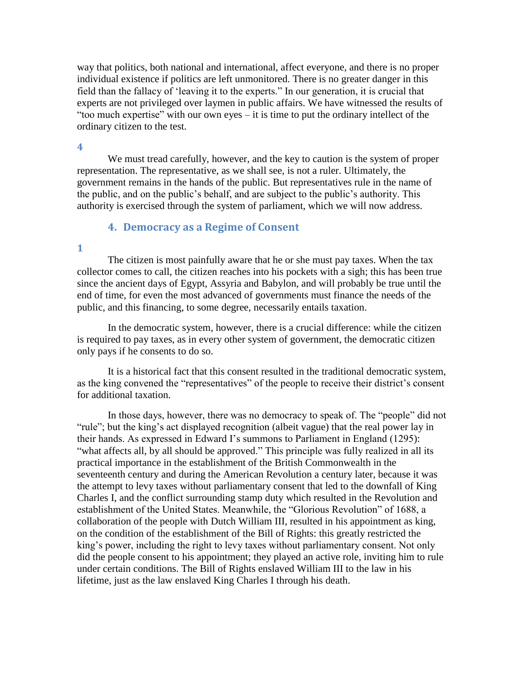way that politics, both national and international, affect everyone, and there is no proper individual existence if politics are left unmonitored. There is no greater danger in this field than the fallacy of 'leaving it to the experts." In our generation, it is crucial that experts are not privileged over laymen in public affairs. We have witnessed the results of "too much expertise" with our own eyes – it is time to put the ordinary intellect of the ordinary citizen to the test.

#### **4**

We must tread carefully, however, and the key to caution is the system of proper representation. The representative, as we shall see, is not a ruler. Ultimately, the government remains in the hands of the public. But representatives rule in the name of the public, and on the public's behalf, and are subject to the public's authority. This authority is exercised through the system of parliament, which we will now address.

## **4. Democracy as a Regime of Consent**

### **1**

The citizen is most painfully aware that he or she must pay taxes. When the tax collector comes to call, the citizen reaches into his pockets with a sigh; this has been true since the ancient days of Egypt, Assyria and Babylon, and will probably be true until the end of time, for even the most advanced of governments must finance the needs of the public, and this financing, to some degree, necessarily entails taxation.

In the democratic system, however, there is a crucial difference: while the citizen is required to pay taxes, as in every other system of government, the democratic citizen only pays if he consents to do so.

It is a historical fact that this consent resulted in the traditional democratic system, as the king convened the "representatives" of the people to receive their district's consent for additional taxation.

In those days, however, there was no democracy to speak of. The "people" did not "rule"; but the king's act displayed recognition (albeit vague) that the real power lay in their hands. As expressed in Edward I's summons to Parliament in England (1295): "what affects all, by all should be approved." This principle was fully realized in all its practical importance in the establishment of the British Commonwealth in the seventeenth century and during the American Revolution a century later, because it was the attempt to levy taxes without parliamentary consent that led to the downfall of King Charles I, and the conflict surrounding stamp duty which resulted in the Revolution and establishment of the United States. Meanwhile, the "Glorious Revolution" of 1688, a collaboration of the people with Dutch William III, resulted in his appointment as king, on the condition of the establishment of the Bill of Rights: this greatly restricted the king's power, including the right to levy taxes without parliamentary consent. Not only did the people consent to his appointment; they played an active role, inviting him to rule under certain conditions. The Bill of Rights enslaved William III to the law in his lifetime, just as the law enslaved King Charles I through his death.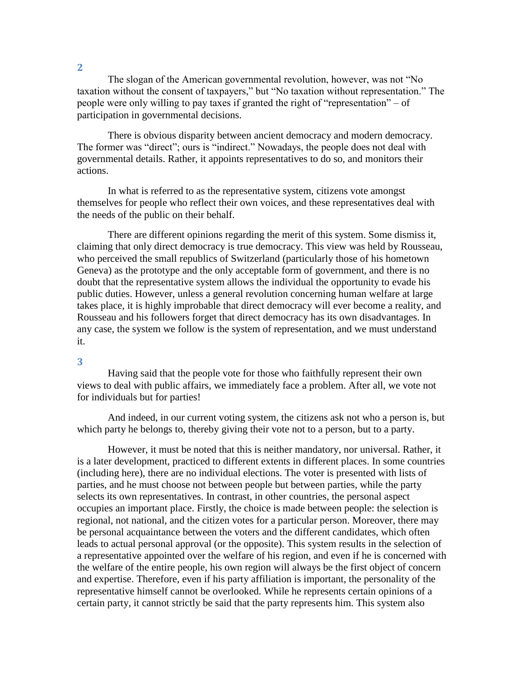## **2**

The slogan of the American governmental revolution, however, was not "No taxation without the consent of taxpayers," but "No taxation without representation." The people were only willing to pay taxes if granted the right of "representation" – of participation in governmental decisions.

There is obvious disparity between ancient democracy and modern democracy. The former was "direct"; ours is "indirect." Nowadays, the people does not deal with governmental details. Rather, it appoints representatives to do so, and monitors their actions.

In what is referred to as the representative system, citizens vote amongst themselves for people who reflect their own voices, and these representatives deal with the needs of the public on their behalf.

There are different opinions regarding the merit of this system. Some dismiss it, claiming that only direct democracy is true democracy. This view was held by Rousseau, who perceived the small republics of Switzerland (particularly those of his hometown Geneva) as the prototype and the only acceptable form of government, and there is no doubt that the representative system allows the individual the opportunity to evade his public duties. However, unless a general revolution concerning human welfare at large takes place, it is highly improbable that direct democracy will ever become a reality, and Rousseau and his followers forget that direct democracy has its own disadvantages. In any case, the system we follow is the system of representation, and we must understand it.

## **3**

Having said that the people vote for those who faithfully represent their own views to deal with public affairs, we immediately face a problem. After all, we vote not for individuals but for parties!

And indeed, in our current voting system, the citizens ask not who a person is, but which party he belongs to, thereby giving their vote not to a person, but to a party.

However, it must be noted that this is neither mandatory, nor universal. Rather, it is a later development, practiced to different extents in different places. In some countries (including here), there are no individual elections. The voter is presented with lists of parties, and he must choose not between people but between parties, while the party selects its own representatives. In contrast, in other countries, the personal aspect occupies an important place. Firstly, the choice is made between people: the selection is regional, not national, and the citizen votes for a particular person. Moreover, there may be personal acquaintance between the voters and the different candidates, which often leads to actual personal approval (or the opposite). This system results in the selection of a representative appointed over the welfare of his region, and even if he is concerned with the welfare of the entire people, his own region will always be the first object of concern and expertise. Therefore, even if his party affiliation is important, the personality of the representative himself cannot be overlooked. While he represents certain opinions of a certain party, it cannot strictly be said that the party represents him. This system also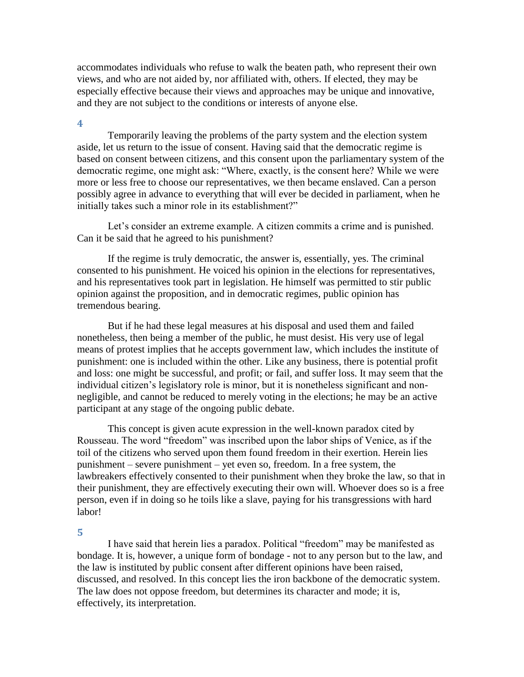accommodates individuals who refuse to walk the beaten path, who represent their own views, and who are not aided by, nor affiliated with, others. If elected, they may be especially effective because their views and approaches may be unique and innovative, and they are not subject to the conditions or interests of anyone else.

### **4**

Temporarily leaving the problems of the party system and the election system aside, let us return to the issue of consent. Having said that the democratic regime is based on consent between citizens, and this consent upon the parliamentary system of the democratic regime, one might ask: "Where, exactly, is the consent here? While we were more or less free to choose our representatives, we then became enslaved. Can a person possibly agree in advance to everything that will ever be decided in parliament, when he initially takes such a minor role in its establishment?"

Let's consider an extreme example. A citizen commits a crime and is punished. Can it be said that he agreed to his punishment?

If the regime is truly democratic, the answer is, essentially, yes. The criminal consented to his punishment. He voiced his opinion in the elections for representatives, and his representatives took part in legislation. He himself was permitted to stir public opinion against the proposition, and in democratic regimes, public opinion has tremendous bearing.

But if he had these legal measures at his disposal and used them and failed nonetheless, then being a member of the public, he must desist. His very use of legal means of protest implies that he accepts government law, which includes the institute of punishment: one is included within the other. Like any business, there is potential profit and loss: one might be successful, and profit; or fail, and suffer loss. It may seem that the individual citizen's legislatory role is minor, but it is nonetheless significant and nonnegligible, and cannot be reduced to merely voting in the elections; he may be an active participant at any stage of the ongoing public debate.

This concept is given acute expression in the well-known paradox cited by Rousseau. The word "freedom" was inscribed upon the labor ships of Venice, as if the toil of the citizens who served upon them found freedom in their exertion. Herein lies punishment – severe punishment – yet even so, freedom. In a free system, the lawbreakers effectively consented to their punishment when they broke the law, so that in their punishment, they are effectively executing their own will. Whoever does so is a free person, even if in doing so he toils like a slave, paying for his transgressions with hard labor!

## **5**

I have said that herein lies a paradox. Political "freedom" may be manifested as bondage. It is, however, a unique form of bondage - not to any person but to the law, and the law is instituted by public consent after different opinions have been raised, discussed, and resolved. In this concept lies the iron backbone of the democratic system. The law does not oppose freedom, but determines its character and mode; it is, effectively, its interpretation.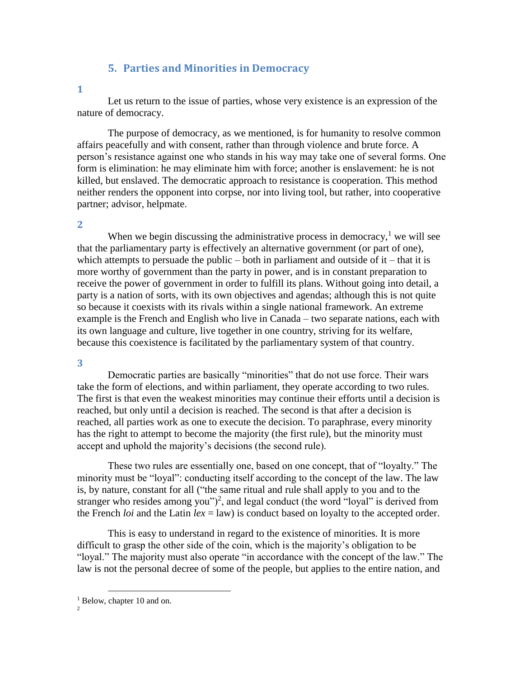## **5. Parties and Minorities in Democracy**

**1**

Let us return to the issue of parties, whose very existence is an expression of the nature of democracy.

The purpose of democracy, as we mentioned, is for humanity to resolve common affairs peacefully and with consent, rather than through violence and brute force. A person's resistance against one who stands in his way may take one of several forms. One form is elimination: he may eliminate him with force; another is enslavement: he is not killed, but enslaved. The democratic approach to resistance is cooperation. This method neither renders the opponent into corpse, nor into living tool, but rather, into cooperative partner; advisor, helpmate.

#### **2**

When we begin discussing the administrative process in democracy,<sup>1</sup> we will see that the parliamentary party is effectively an alternative government (or part of one), which attempts to persuade the public – both in parliament and outside of  $it$  – that it is more worthy of government than the party in power, and is in constant preparation to receive the power of government in order to fulfill its plans. Without going into detail, a party is a nation of sorts, with its own objectives and agendas; although this is not quite so because it coexists with its rivals within a single national framework. An extreme example is the French and English who live in Canada – two separate nations, each with its own language and culture, live together in one country, striving for its welfare, because this coexistence is facilitated by the parliamentary system of that country.

## **3**

Democratic parties are basically "minorities" that do not use force. Their wars take the form of elections, and within parliament, they operate according to two rules. The first is that even the weakest minorities may continue their efforts until a decision is reached, but only until a decision is reached. The second is that after a decision is reached, all parties work as one to execute the decision. To paraphrase, every minority has the right to attempt to become the majority (the first rule), but the minority must accept and uphold the majority's decisions (the second rule).

These two rules are essentially one, based on one concept, that of "loyalty." The minority must be "loyal": conducting itself according to the concept of the law. The law is, by nature, constant for all ("the same ritual and rule shall apply to you and to the stranger who resides among you" $)^2$ , and legal conduct (the word "loyal" is derived from the French *loi* and the Latin  $lex = law$  is conduct based on loyalty to the accepted order.

This is easy to understand in regard to the existence of minorities. It is more difficult to grasp the other side of the coin, which is the majority's obligation to be "loyal." The majority must also operate "in accordance with the concept of the law." The law is not the personal decree of some of the people, but applies to the entire nation, and

 $\overline{a}$ 

<sup>&</sup>lt;sup>1</sup> Below, chapter 10 and on.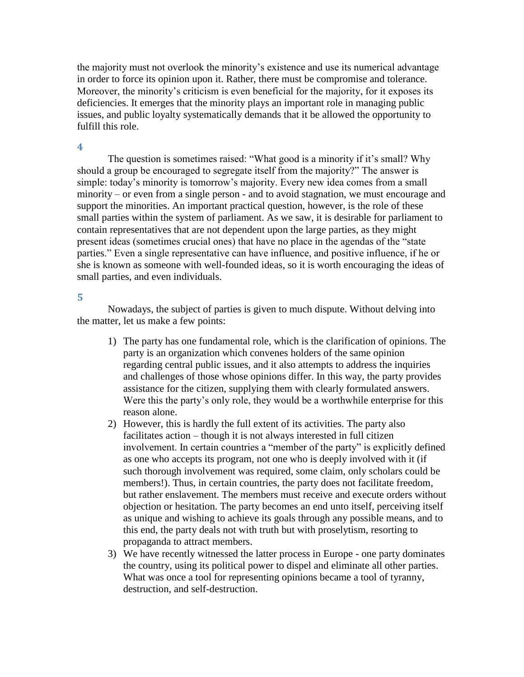the majority must not overlook the minority's existence and use its numerical advantage in order to force its opinion upon it. Rather, there must be compromise and tolerance. Moreover, the minority's criticism is even beneficial for the majority, for it exposes its deficiencies. It emerges that the minority plays an important role in managing public issues, and public loyalty systematically demands that it be allowed the opportunity to fulfill this role.

### **4**

The question is sometimes raised: "What good is a minority if it's small? Why should a group be encouraged to segregate itself from the majority?" The answer is simple: today's minority is tomorrow's majority. Every new idea comes from a small minority – or even from a single person - and to avoid stagnation, we must encourage and support the minorities. An important practical question, however, is the role of these small parties within the system of parliament. As we saw, it is desirable for parliament to contain representatives that are not dependent upon the large parties, as they might present ideas (sometimes crucial ones) that have no place in the agendas of the "state parties." Even a single representative can have influence, and positive influence, if he or she is known as someone with well-founded ideas, so it is worth encouraging the ideas of small parties, and even individuals.

## **5**

Nowadays, the subject of parties is given to much dispute. Without delving into the matter, let us make a few points:

- 1) The party has one fundamental role, which is the clarification of opinions. The party is an organization which convenes holders of the same opinion regarding central public issues, and it also attempts to address the inquiries and challenges of those whose opinions differ. In this way, the party provides assistance for the citizen, supplying them with clearly formulated answers. Were this the party's only role, they would be a worthwhile enterprise for this reason alone.
- 2) However, this is hardly the full extent of its activities. The party also facilitates action – though it is not always interested in full citizen involvement. In certain countries a "member of the party" is explicitly defined as one who accepts its program, not one who is deeply involved with it (if such thorough involvement was required, some claim, only scholars could be members!). Thus, in certain countries, the party does not facilitate freedom, but rather enslavement. The members must receive and execute orders without objection or hesitation. The party becomes an end unto itself, perceiving itself as unique and wishing to achieve its goals through any possible means, and to this end, the party deals not with truth but with proselytism, resorting to propaganda to attract members.
- 3) We have recently witnessed the latter process in Europe one party dominates the country, using its political power to dispel and eliminate all other parties. What was once a tool for representing opinions became a tool of tyranny, destruction, and self-destruction.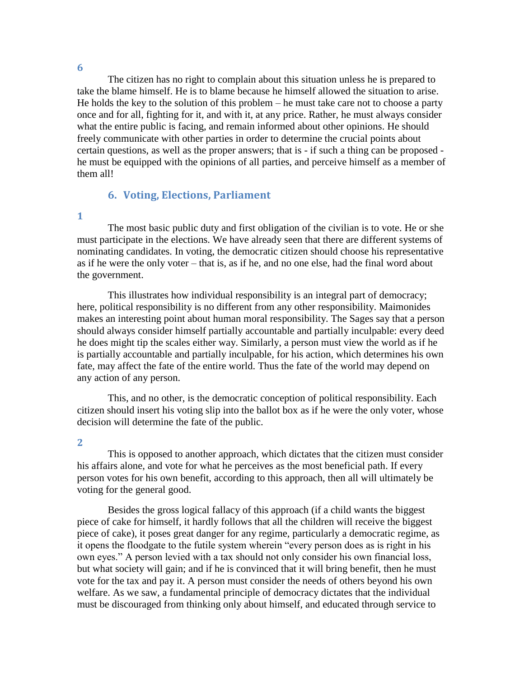The citizen has no right to complain about this situation unless he is prepared to take the blame himself. He is to blame because he himself allowed the situation to arise. He holds the key to the solution of this problem – he must take care not to choose a party once and for all, fighting for it, and with it, at any price. Rather, he must always consider what the entire public is facing, and remain informed about other opinions. He should freely communicate with other parties in order to determine the crucial points about certain questions, as well as the proper answers; that is - if such a thing can be proposed he must be equipped with the opinions of all parties, and perceive himself as a member of them all!

## **6. Voting, Elections, Parliament**

### **1**

The most basic public duty and first obligation of the civilian is to vote. He or she must participate in the elections. We have already seen that there are different systems of nominating candidates. In voting, the democratic citizen should choose his representative as if he were the only voter – that is, as if he, and no one else, had the final word about the government.

This illustrates how individual responsibility is an integral part of democracy; here, political responsibility is no different from any other responsibility. Maimonides makes an interesting point about human moral responsibility. The Sages say that a person should always consider himself partially accountable and partially inculpable: every deed he does might tip the scales either way. Similarly, a person must view the world as if he is partially accountable and partially inculpable, for his action, which determines his own fate, may affect the fate of the entire world. Thus the fate of the world may depend on any action of any person.

This, and no other, is the democratic conception of political responsibility. Each citizen should insert his voting slip into the ballot box as if he were the only voter, whose decision will determine the fate of the public.

## **2**

This is opposed to another approach, which dictates that the citizen must consider his affairs alone, and vote for what he perceives as the most beneficial path. If every person votes for his own benefit, according to this approach, then all will ultimately be voting for the general good.

Besides the gross logical fallacy of this approach (if a child wants the biggest piece of cake for himself, it hardly follows that all the children will receive the biggest piece of cake), it poses great danger for any regime, particularly a democratic regime, as it opens the floodgate to the futile system wherein "every person does as is right in his own eyes." A person levied with a tax should not only consider his own financial loss, but what society will gain; and if he is convinced that it will bring benefit, then he must vote for the tax and pay it. A person must consider the needs of others beyond his own welfare. As we saw, a fundamental principle of democracy dictates that the individual must be discouraged from thinking only about himself, and educated through service to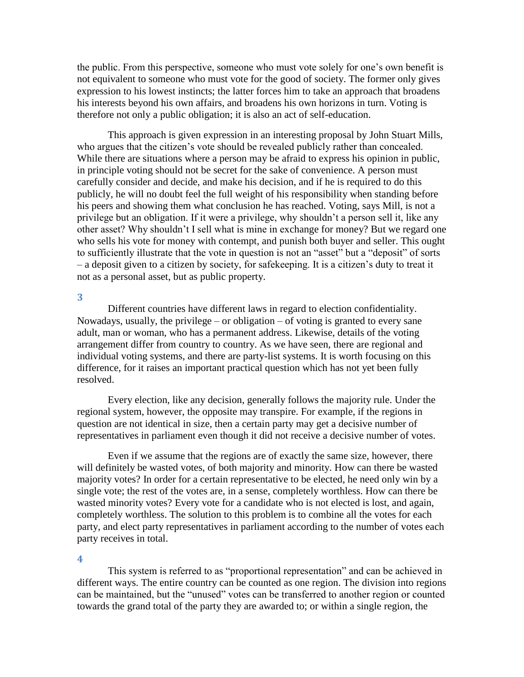the public. From this perspective, someone who must vote solely for one's own benefit is not equivalent to someone who must vote for the good of society. The former only gives expression to his lowest instincts; the latter forces him to take an approach that broadens his interests beyond his own affairs, and broadens his own horizons in turn. Voting is therefore not only a public obligation; it is also an act of self-education.

This approach is given expression in an interesting proposal by John Stuart Mills, who argues that the citizen's vote should be revealed publicly rather than concealed. While there are situations where a person may be afraid to express his opinion in public, in principle voting should not be secret for the sake of convenience. A person must carefully consider and decide, and make his decision, and if he is required to do this publicly, he will no doubt feel the full weight of his responsibility when standing before his peers and showing them what conclusion he has reached. Voting, says Mill, is not a privilege but an obligation. If it were a privilege, why shouldn't a person sell it, like any other asset? Why shouldn't I sell what is mine in exchange for money? But we regard one who sells his vote for money with contempt, and punish both buyer and seller. This ought to sufficiently illustrate that the vote in question is not an "asset" but a "deposit" of sorts – a deposit given to a citizen by society, for safekeeping. It is a citizen's duty to treat it not as a personal asset, but as public property.

## **3**

Different countries have different laws in regard to election confidentiality. Nowadays, usually, the privilege – or obligation – of voting is granted to every sane adult, man or woman, who has a permanent address. Likewise, details of the voting arrangement differ from country to country. As we have seen, there are regional and individual voting systems, and there are party-list systems. It is worth focusing on this difference, for it raises an important practical question which has not yet been fully resolved.

Every election, like any decision, generally follows the majority rule. Under the regional system, however, the opposite may transpire. For example, if the regions in question are not identical in size, then a certain party may get a decisive number of representatives in parliament even though it did not receive a decisive number of votes.

Even if we assume that the regions are of exactly the same size, however, there will definitely be wasted votes, of both majority and minority. How can there be wasted majority votes? In order for a certain representative to be elected, he need only win by a single vote; the rest of the votes are, in a sense, completely worthless. How can there be wasted minority votes? Every vote for a candidate who is not elected is lost, and again, completely worthless. The solution to this problem is to combine all the votes for each party, and elect party representatives in parliament according to the number of votes each party receives in total.

### **4**

This system is referred to as "proportional representation" and can be achieved in different ways. The entire country can be counted as one region. The division into regions can be maintained, but the "unused" votes can be transferred to another region or counted towards the grand total of the party they are awarded to; or within a single region, the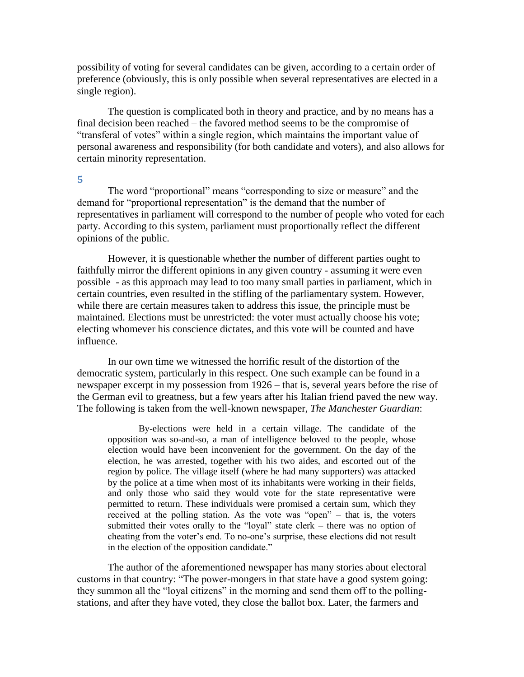possibility of voting for several candidates can be given, according to a certain order of preference (obviously, this is only possible when several representatives are elected in a single region).

The question is complicated both in theory and practice, and by no means has a final decision been reached – the favored method seems to be the compromise of "transferal of votes" within a single region, which maintains the important value of personal awareness and responsibility (for both candidate and voters), and also allows for certain minority representation.

### **5**

The word "proportional" means "corresponding to size or measure" and the demand for "proportional representation" is the demand that the number of representatives in parliament will correspond to the number of people who voted for each party. According to this system, parliament must proportionally reflect the different opinions of the public.

However, it is questionable whether the number of different parties ought to faithfully mirror the different opinions in any given country - assuming it were even possible - as this approach may lead to too many small parties in parliament, which in certain countries, even resulted in the stifling of the parliamentary system. However, while there are certain measures taken to address this issue, the principle must be maintained. Elections must be unrestricted: the voter must actually choose his vote; electing whomever his conscience dictates, and this vote will be counted and have influence.

In our own time we witnessed the horrific result of the distortion of the democratic system, particularly in this respect. One such example can be found in a newspaper excerpt in my possession from 1926 – that is, several years before the rise of the German evil to greatness, but a few years after his Italian friend paved the new way. The following is taken from the well-known newspaper, *The Manchester Guardian*:

By-elections were held in a certain village. The candidate of the opposition was so-and-so, a man of intelligence beloved to the people, whose election would have been inconvenient for the government. On the day of the election, he was arrested, together with his two aides, and escorted out of the region by police. The village itself (where he had many supporters) was attacked by the police at a time when most of its inhabitants were working in their fields, and only those who said they would vote for the state representative were permitted to return. These individuals were promised a certain sum, which they received at the polling station. As the vote was "open" – that is, the voters submitted their votes orally to the "loyal" state clerk – there was no option of cheating from the voter's end. To no-one's surprise, these elections did not result in the election of the opposition candidate."

The author of the aforementioned newspaper has many stories about electoral customs in that country: "The power-mongers in that state have a good system going: they summon all the "loyal citizens" in the morning and send them off to the pollingstations, and after they have voted, they close the ballot box. Later, the farmers and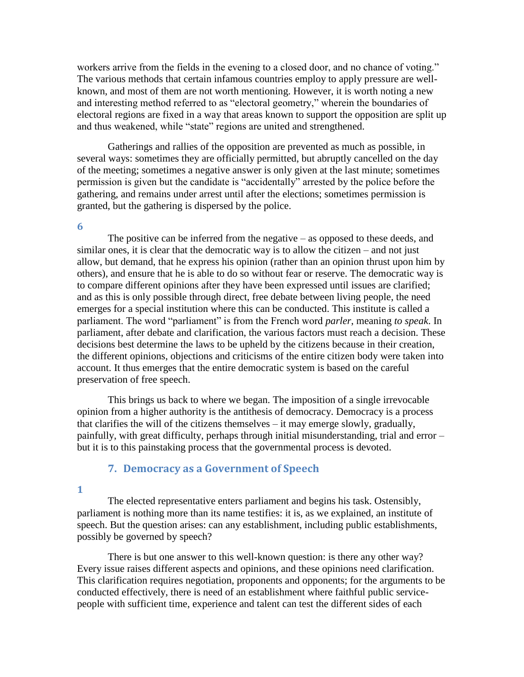workers arrive from the fields in the evening to a closed door, and no chance of voting." The various methods that certain infamous countries employ to apply pressure are wellknown, and most of them are not worth mentioning. However, it is worth noting a new and interesting method referred to as "electoral geometry," wherein the boundaries of electoral regions are fixed in a way that areas known to support the opposition are split up and thus weakened, while "state" regions are united and strengthened.

Gatherings and rallies of the opposition are prevented as much as possible, in several ways: sometimes they are officially permitted, but abruptly cancelled on the day of the meeting; sometimes a negative answer is only given at the last minute; sometimes permission is given but the candidate is "accidentally" arrested by the police before the gathering, and remains under arrest until after the elections; sometimes permission is granted, but the gathering is dispersed by the police.

#### **6**

The positive can be inferred from the negative – as opposed to these deeds, and similar ones, it is clear that the democratic way is to allow the citizen – and not just allow, but demand, that he express his opinion (rather than an opinion thrust upon him by others), and ensure that he is able to do so without fear or reserve. The democratic way is to compare different opinions after they have been expressed until issues are clarified; and as this is only possible through direct, free debate between living people, the need emerges for a special institution where this can be conducted. This institute is called a parliament. The word "parliament" is from the French word *parler*, meaning *to speak*. In parliament, after debate and clarification, the various factors must reach a decision. These decisions best determine the laws to be upheld by the citizens because in their creation, the different opinions, objections and criticisms of the entire citizen body were taken into account. It thus emerges that the entire democratic system is based on the careful preservation of free speech.

This brings us back to where we began. The imposition of a single irrevocable opinion from a higher authority is the antithesis of democracy. Democracy is a process that clarifies the will of the citizens themselves – it may emerge slowly, gradually, painfully, with great difficulty, perhaps through initial misunderstanding, trial and error – but it is to this painstaking process that the governmental process is devoted.

### **7. Democracy as a Government of Speech**

### **1**

The elected representative enters parliament and begins his task. Ostensibly, parliament is nothing more than its name testifies: it is, as we explained, an institute of speech. But the question arises: can any establishment, including public establishments, possibly be governed by speech?

There is but one answer to this well-known question: is there any other way? Every issue raises different aspects and opinions, and these opinions need clarification. This clarification requires negotiation, proponents and opponents; for the arguments to be conducted effectively, there is need of an establishment where faithful public servicepeople with sufficient time, experience and talent can test the different sides of each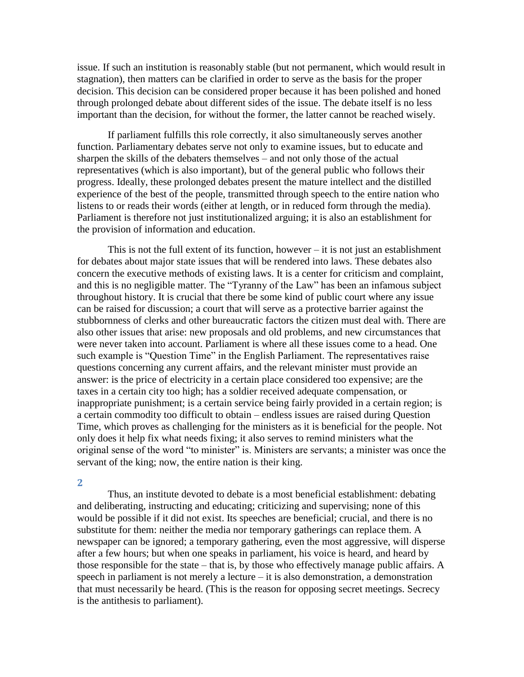issue. If such an institution is reasonably stable (but not permanent, which would result in stagnation), then matters can be clarified in order to serve as the basis for the proper decision. This decision can be considered proper because it has been polished and honed through prolonged debate about different sides of the issue. The debate itself is no less important than the decision, for without the former, the latter cannot be reached wisely.

If parliament fulfills this role correctly, it also simultaneously serves another function. Parliamentary debates serve not only to examine issues, but to educate and sharpen the skills of the debaters themselves – and not only those of the actual representatives (which is also important), but of the general public who follows their progress. Ideally, these prolonged debates present the mature intellect and the distilled experience of the best of the people, transmitted through speech to the entire nation who listens to or reads their words (either at length, or in reduced form through the media). Parliament is therefore not just institutionalized arguing; it is also an establishment for the provision of information and education.

This is not the full extent of its function, however  $-$  it is not just an establishment for debates about major state issues that will be rendered into laws. These debates also concern the executive methods of existing laws. It is a center for criticism and complaint, and this is no negligible matter. The "Tyranny of the Law" has been an infamous subject throughout history. It is crucial that there be some kind of public court where any issue can be raised for discussion; a court that will serve as a protective barrier against the stubbornness of clerks and other bureaucratic factors the citizen must deal with. There are also other issues that arise: new proposals and old problems, and new circumstances that were never taken into account. Parliament is where all these issues come to a head. One such example is "Question Time" in the English Parliament. The representatives raise questions concerning any current affairs, and the relevant minister must provide an answer: is the price of electricity in a certain place considered too expensive; are the taxes in a certain city too high; has a soldier received adequate compensation, or inappropriate punishment; is a certain service being fairly provided in a certain region; is a certain commodity too difficult to obtain – endless issues are raised during Question Time, which proves as challenging for the ministers as it is beneficial for the people. Not only does it help fix what needs fixing; it also serves to remind ministers what the original sense of the word "to minister" is. Ministers are servants; a minister was once the servant of the king; now, the entire nation is their king.

#### **2**

Thus, an institute devoted to debate is a most beneficial establishment: debating and deliberating, instructing and educating; criticizing and supervising; none of this would be possible if it did not exist. Its speeches are beneficial; crucial, and there is no substitute for them: neither the media nor temporary gatherings can replace them. A newspaper can be ignored; a temporary gathering, even the most aggressive, will disperse after a few hours; but when one speaks in parliament, his voice is heard, and heard by those responsible for the state – that is, by those who effectively manage public affairs. A speech in parliament is not merely a lecture – it is also demonstration, a demonstration that must necessarily be heard. (This is the reason for opposing secret meetings. Secrecy is the antithesis to parliament).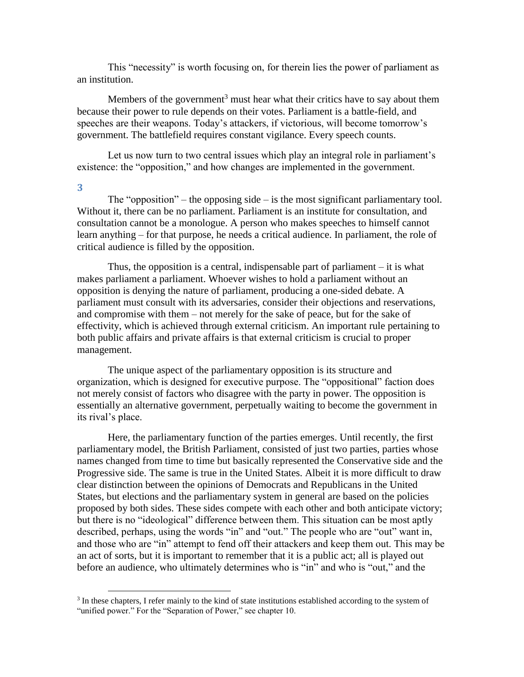This "necessity" is worth focusing on, for therein lies the power of parliament as an institution.

Members of the government<sup>3</sup> must hear what their critics have to say about them because their power to rule depends on their votes. Parliament is a battle-field, and speeches are their weapons. Today's attackers, if victorious, will become tomorrow's government. The battlefield requires constant vigilance. Every speech counts.

Let us now turn to two central issues which play an integral role in parliament's existence: the "opposition," and how changes are implemented in the government.

**3**

 $\overline{a}$ 

The "opposition" – the opposing side – is the most significant parliamentary tool. Without it, there can be no parliament. Parliament is an institute for consultation, and consultation cannot be a monologue. A person who makes speeches to himself cannot learn anything – for that purpose, he needs a critical audience. In parliament, the role of critical audience is filled by the opposition.

Thus, the opposition is a central, indispensable part of parliament  $-$  it is what makes parliament a parliament. Whoever wishes to hold a parliament without an opposition is denying the nature of parliament, producing a one-sided debate. A parliament must consult with its adversaries, consider their objections and reservations, and compromise with them – not merely for the sake of peace, but for the sake of effectivity, which is achieved through external criticism. An important rule pertaining to both public affairs and private affairs is that external criticism is crucial to proper management.

The unique aspect of the parliamentary opposition is its structure and organization, which is designed for executive purpose. The "oppositional" faction does not merely consist of factors who disagree with the party in power. The opposition is essentially an alternative government, perpetually waiting to become the government in its rival's place.

Here, the parliamentary function of the parties emerges. Until recently, the first parliamentary model, the British Parliament, consisted of just two parties, parties whose names changed from time to time but basically represented the Conservative side and the Progressive side. The same is true in the United States. Albeit it is more difficult to draw clear distinction between the opinions of Democrats and Republicans in the United States, but elections and the parliamentary system in general are based on the policies proposed by both sides. These sides compete with each other and both anticipate victory; but there is no "ideological" difference between them. This situation can be most aptly described, perhaps, using the words "in" and "out." The people who are "out" want in, and those who are "in" attempt to fend off their attackers and keep them out. This may be an act of sorts, but it is important to remember that it is a public act; all is played out before an audience, who ultimately determines who is "in" and who is "out," and the

<sup>&</sup>lt;sup>3</sup> In these chapters, I refer mainly to the kind of state institutions established according to the system of "unified power." For the "Separation of Power," see chapter 10.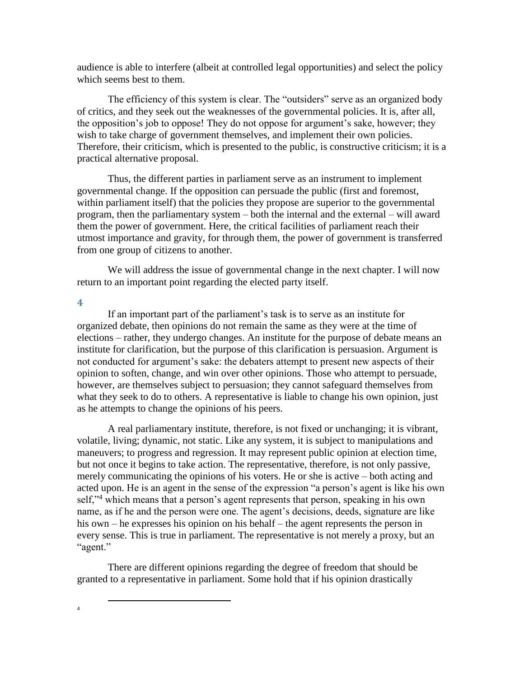audience is able to interfere (albeit at controlled legal opportunities) and select the policy which seems best to them.

The efficiency of this system is clear. The "outsiders" serve as an organized body of critics, and they seek out the weaknesses of the governmental policies. It is, after all, the opposition's job to oppose! They do not oppose for argument's sake, however; they wish to take charge of government themselves, and implement their own policies. Therefore, their criticism, which is presented to the public, is constructive criticism; it is a practical alternative proposal.

Thus, the different parties in parliament serve as an instrument to implement governmental change. If the opposition can persuade the public (first and foremost, within parliament itself) that the policies they propose are superior to the governmental program, then the parliamentary system – both the internal and the external – will award them the power of government. Here, the critical facilities of parliament reach their utmost importance and gravity, for through them, the power of government is transferred from one group of citizens to another.

We will address the issue of governmental change in the next chapter. I will now return to an important point regarding the elected party itself.

**4**

If an important part of the parliament's task is to serve as an institute for organized debate, then opinions do not remain the same as they were at the time of elections – rather, they undergo changes. An institute for the purpose of debate means an institute for clarification, but the purpose of this clarification is persuasion. Argument is not conducted for argument's sake: the debaters attempt to present new aspects of their opinion to soften, change, and win over other opinions. Those who attempt to persuade, however, are themselves subject to persuasion; they cannot safeguard themselves from what they seek to do to others. A representative is liable to change his own opinion, just as he attempts to change the opinions of his peers.

A real parliamentary institute, therefore, is not fixed or unchanging; it is vibrant, volatile, living; dynamic, not static. Like any system, it is subject to manipulations and maneuvers; to progress and regression. It may represent public opinion at election time, but not once it begins to take action. The representative, therefore, is not only passive, merely communicating the opinions of his voters. He or she is active – both acting and acted upon. He is an agent in the sense of the expression "a person's agent is like his own self,"<sup>4</sup> which means that a person's agent represents that person, speaking in his own name, as if he and the person were one. The agent's decisions, deeds, signature are like his own – he expresses his opinion on his behalf – the agent represents the person in every sense. This is true in parliament. The representative is not merely a proxy, but an "agent."

There are different opinions regarding the degree of freedom that should be granted to a representative in parliament. Some hold that if his opinion drastically

 $\overline{a}$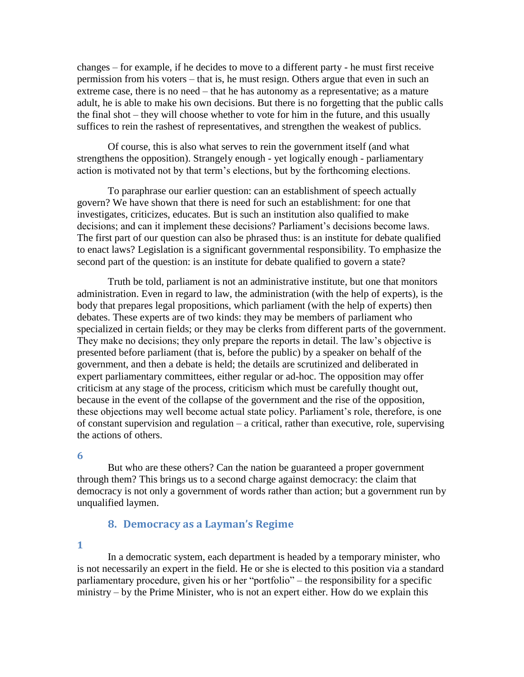changes – for example, if he decides to move to a different party - he must first receive permission from his voters – that is, he must resign. Others argue that even in such an extreme case, there is no need – that he has autonomy as a representative; as a mature adult, he is able to make his own decisions. But there is no forgetting that the public calls the final shot – they will choose whether to vote for him in the future, and this usually suffices to rein the rashest of representatives, and strengthen the weakest of publics.

Of course, this is also what serves to rein the government itself (and what strengthens the opposition). Strangely enough - yet logically enough - parliamentary action is motivated not by that term's elections, but by the forthcoming elections.

To paraphrase our earlier question: can an establishment of speech actually govern? We have shown that there is need for such an establishment: for one that investigates, criticizes, educates. But is such an institution also qualified to make decisions; and can it implement these decisions? Parliament's decisions become laws. The first part of our question can also be phrased thus: is an institute for debate qualified to enact laws? Legislation is a significant governmental responsibility. To emphasize the second part of the question: is an institute for debate qualified to govern a state?

Truth be told, parliament is not an administrative institute, but one that monitors administration. Even in regard to law, the administration (with the help of experts), is the body that prepares legal propositions, which parliament (with the help of experts) then debates. These experts are of two kinds: they may be members of parliament who specialized in certain fields; or they may be clerks from different parts of the government. They make no decisions; they only prepare the reports in detail. The law's objective is presented before parliament (that is, before the public) by a speaker on behalf of the government, and then a debate is held; the details are scrutinized and deliberated in expert parliamentary committees, either regular or ad-hoc. The opposition may offer criticism at any stage of the process, criticism which must be carefully thought out, because in the event of the collapse of the government and the rise of the opposition, these objections may well become actual state policy. Parliament's role, therefore, is one of constant supervision and regulation – a critical, rather than executive, role, supervising the actions of others.

**6**

But who are these others? Can the nation be guaranteed a proper government through them? This brings us to a second charge against democracy: the claim that democracy is not only a government of words rather than action; but a government run by unqualified laymen.

## **8. Democracy as a Layman's Regime**

## **1**

In a democratic system, each department is headed by a temporary minister, who is not necessarily an expert in the field. He or she is elected to this position via a standard parliamentary procedure, given his or her "portfolio" – the responsibility for a specific ministry – by the Prime Minister, who is not an expert either. How do we explain this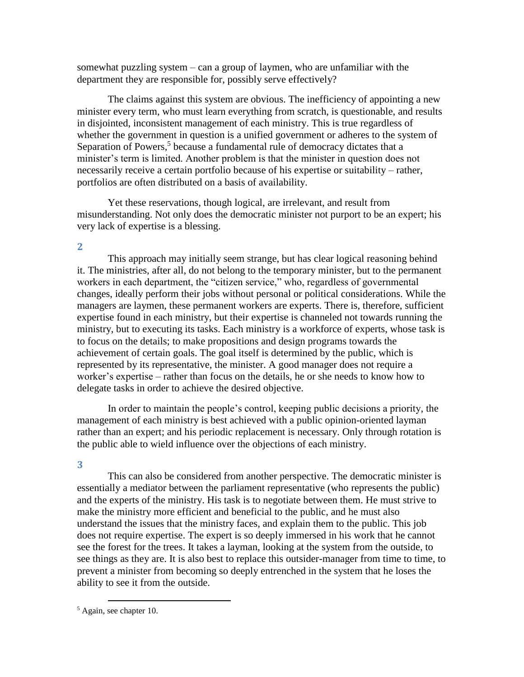somewhat puzzling system – can a group of laymen, who are unfamiliar with the department they are responsible for, possibly serve effectively?

The claims against this system are obvious. The inefficiency of appointing a new minister every term, who must learn everything from scratch, is questionable, and results in disjointed, inconsistent management of each ministry. This is true regardless of whether the government in question is a unified government or adheres to the system of Separation of Powers,<sup>5</sup> because a fundamental rule of democracy dictates that a minister's term is limited. Another problem is that the minister in question does not necessarily receive a certain portfolio because of his expertise or suitability – rather, portfolios are often distributed on a basis of availability.

Yet these reservations, though logical, are irrelevant, and result from misunderstanding. Not only does the democratic minister not purport to be an expert; his very lack of expertise is a blessing.

## **2**

This approach may initially seem strange, but has clear logical reasoning behind it. The ministries, after all, do not belong to the temporary minister, but to the permanent workers in each department, the "citizen service," who, regardless of governmental changes, ideally perform their jobs without personal or political considerations. While the managers are laymen, these permanent workers are experts. There is, therefore, sufficient expertise found in each ministry, but their expertise is channeled not towards running the ministry, but to executing its tasks. Each ministry is a workforce of experts, whose task is to focus on the details; to make propositions and design programs towards the achievement of certain goals. The goal itself is determined by the public, which is represented by its representative, the minister. A good manager does not require a worker's expertise – rather than focus on the details, he or she needs to know how to delegate tasks in order to achieve the desired objective.

In order to maintain the people's control, keeping public decisions a priority, the management of each ministry is best achieved with a public opinion-oriented layman rather than an expert; and his periodic replacement is necessary. Only through rotation is the public able to wield influence over the objections of each ministry.

#### **3**

This can also be considered from another perspective. The democratic minister is essentially a mediator between the parliament representative (who represents the public) and the experts of the ministry. His task is to negotiate between them. He must strive to make the ministry more efficient and beneficial to the public, and he must also understand the issues that the ministry faces, and explain them to the public. This job does not require expertise. The expert is so deeply immersed in his work that he cannot see the forest for the trees. It takes a layman, looking at the system from the outside, to see things as they are. It is also best to replace this outsider-manager from time to time, to prevent a minister from becoming so deeply entrenched in the system that he loses the ability to see it from the outside.

 $\overline{a}$ 

<sup>5</sup> Again, see chapter 10.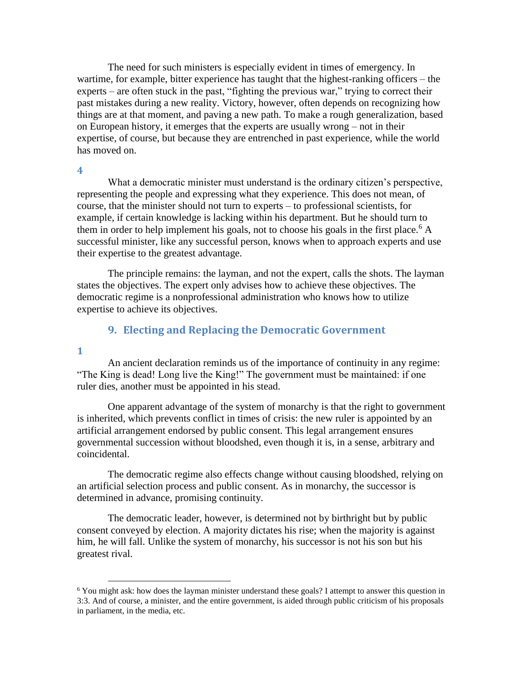The need for such ministers is especially evident in times of emergency. In wartime, for example, bitter experience has taught that the highest-ranking officers – the experts – are often stuck in the past, "fighting the previous war," trying to correct their past mistakes during a new reality. Victory, however, often depends on recognizing how things are at that moment, and paving a new path. To make a rough generalization, based on European history, it emerges that the experts are usually wrong – not in their expertise, of course, but because they are entrenched in past experience, while the world has moved on.

## **4**

What a democratic minister must understand is the ordinary citizen's perspective, representing the people and expressing what they experience. This does not mean, of course, that the minister should not turn to experts – to professional scientists, for example, if certain knowledge is lacking within his department. But he should turn to them in order to help implement his goals, not to choose his goals in the first place.<sup>6</sup> A successful minister, like any successful person, knows when to approach experts and use their expertise to the greatest advantage.

The principle remains: the layman, and not the expert, calls the shots. The layman states the objectives. The expert only advises how to achieve these objectives. The democratic regime is a nonprofessional administration who knows how to utilize expertise to achieve its objectives.

## **9. Electing and Replacing the Democratic Government**

### **1**

 $\overline{a}$ 

An ancient declaration reminds us of the importance of continuity in any regime: "The King is dead! Long live the King!" The government must be maintained: if one ruler dies, another must be appointed in his stead.

One apparent advantage of the system of monarchy is that the right to government is inherited, which prevents conflict in times of crisis: the new ruler is appointed by an artificial arrangement endorsed by public consent. This legal arrangement ensures governmental succession without bloodshed, even though it is, in a sense, arbitrary and coincidental.

The democratic regime also effects change without causing bloodshed, relying on an artificial selection process and public consent. As in monarchy, the successor is determined in advance, promising continuity.

The democratic leader, however, is determined not by birthright but by public consent conveyed by election. A majority dictates his rise; when the majority is against him, he will fall. Unlike the system of monarchy, his successor is not his son but his greatest rival.

 $6$  You might ask: how does the layman minister understand these goals? I attempt to answer this question in 3:3. And of course, a minister, and the entire government, is aided through public criticism of his proposals in parliament, in the media, etc.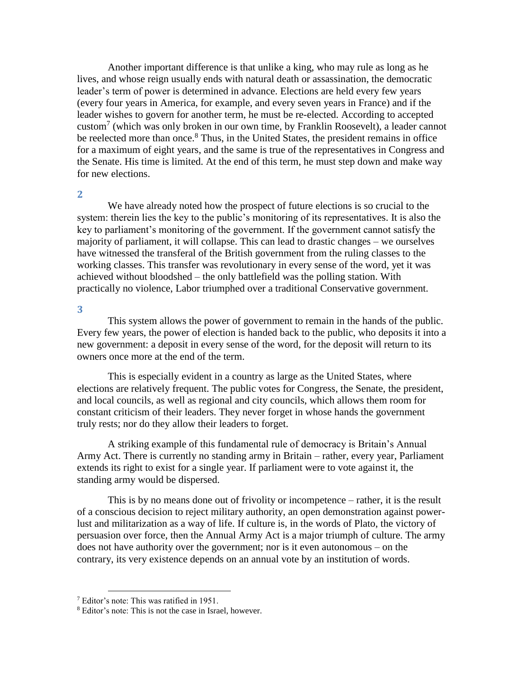Another important difference is that unlike a king, who may rule as long as he lives, and whose reign usually ends with natural death or assassination, the democratic leader's term of power is determined in advance. Elections are held every few years (every four years in America, for example, and every seven years in France) and if the leader wishes to govern for another term, he must be re-elected. According to accepted custom<sup>7</sup> (which was only broken in our own time, by Franklin Roosevelt), a leader cannot be reelected more than once.<sup>8</sup> Thus, in the United States, the president remains in office for a maximum of eight years, and the same is true of the representatives in Congress and the Senate. His time is limited. At the end of this term, he must step down and make way for new elections.

### **2**

We have already noted how the prospect of future elections is so crucial to the system: therein lies the key to the public's monitoring of its representatives. It is also the key to parliament's monitoring of the government. If the government cannot satisfy the majority of parliament, it will collapse. This can lead to drastic changes – we ourselves have witnessed the transferal of the British government from the ruling classes to the working classes. This transfer was revolutionary in every sense of the word, yet it was achieved without bloodshed – the only battlefield was the polling station. With practically no violence, Labor triumphed over a traditional Conservative government.

## **3**

This system allows the power of government to remain in the hands of the public. Every few years, the power of election is handed back to the public, who deposits it into a new government: a deposit in every sense of the word, for the deposit will return to its owners once more at the end of the term.

This is especially evident in a country as large as the United States, where elections are relatively frequent. The public votes for Congress, the Senate, the president, and local councils, as well as regional and city councils, which allows them room for constant criticism of their leaders. They never forget in whose hands the government truly rests; nor do they allow their leaders to forget.

A striking example of this fundamental rule of democracy is Britain's Annual Army Act. There is currently no standing army in Britain – rather, every year, Parliament extends its right to exist for a single year. If parliament were to vote against it, the standing army would be dispersed.

This is by no means done out of frivolity or incompetence – rather, it is the result of a conscious decision to reject military authority, an open demonstration against powerlust and militarization as a way of life. If culture is, in the words of Plato, the victory of persuasion over force, then the Annual Army Act is a major triumph of culture. The army does not have authority over the government; nor is it even autonomous – on the contrary, its very existence depends on an annual vote by an institution of words.

 $\overline{a}$ 

<sup>7</sup> Editor's note: This was ratified in 1951.

<sup>8</sup> Editor's note: This is not the case in Israel, however.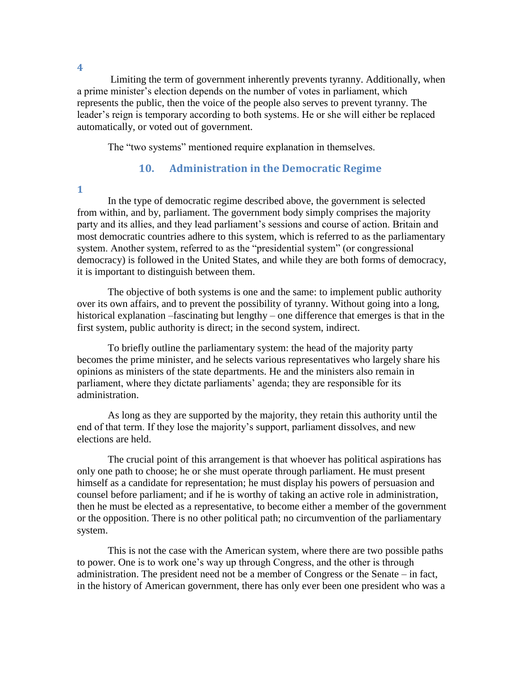Limiting the term of government inherently prevents tyranny. Additionally, when a prime minister's election depends on the number of votes in parliament, which represents the public, then the voice of the people also serves to prevent tyranny. The leader's reign is temporary according to both systems. He or she will either be replaced automatically, or voted out of government.

The "two systems" mentioned require explanation in themselves.

## **10. Administration in the Democratic Regime**

### **1**

In the type of democratic regime described above, the government is selected from within, and by, parliament. The government body simply comprises the majority party and its allies, and they lead parliament's sessions and course of action. Britain and most democratic countries adhere to this system, which is referred to as the parliamentary system. Another system, referred to as the "presidential system" (or congressional democracy) is followed in the United States, and while they are both forms of democracy, it is important to distinguish between them.

The objective of both systems is one and the same: to implement public authority over its own affairs, and to prevent the possibility of tyranny. Without going into a long, historical explanation –fascinating but lengthy – one difference that emerges is that in the first system, public authority is direct; in the second system, indirect.

To briefly outline the parliamentary system: the head of the majority party becomes the prime minister, and he selects various representatives who largely share his opinions as ministers of the state departments. He and the ministers also remain in parliament, where they dictate parliaments' agenda; they are responsible for its administration.

As long as they are supported by the majority, they retain this authority until the end of that term. If they lose the majority's support, parliament dissolves, and new elections are held.

The crucial point of this arrangement is that whoever has political aspirations has only one path to choose; he or she must operate through parliament. He must present himself as a candidate for representation; he must display his powers of persuasion and counsel before parliament; and if he is worthy of taking an active role in administration, then he must be elected as a representative, to become either a member of the government or the opposition. There is no other political path; no circumvention of the parliamentary system.

This is not the case with the American system, where there are two possible paths to power. One is to work one's way up through Congress, and the other is through administration. The president need not be a member of Congress or the Senate – in fact, in the history of American government, there has only ever been one president who was a

**4**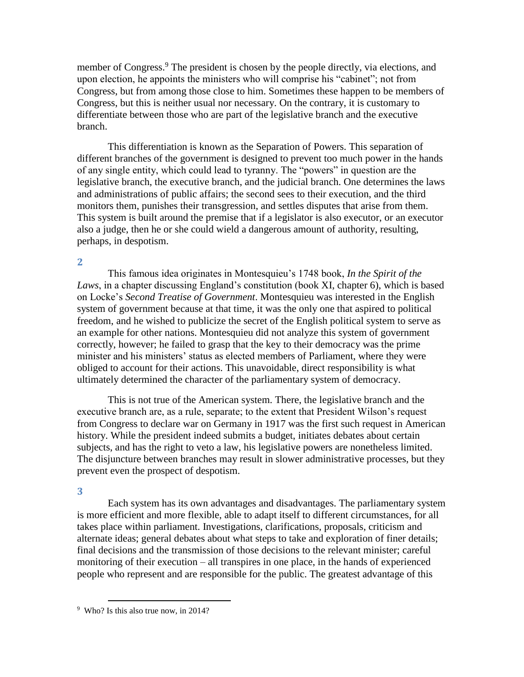member of Congress.<sup>9</sup> The president is chosen by the people directly, via elections, and upon election, he appoints the ministers who will comprise his "cabinet"; not from Congress, but from among those close to him. Sometimes these happen to be members of Congress, but this is neither usual nor necessary. On the contrary, it is customary to differentiate between those who are part of the legislative branch and the executive branch.

This differentiation is known as the Separation of Powers. This separation of different branches of the government is designed to prevent too much power in the hands of any single entity, which could lead to tyranny. The "powers" in question are the legislative branch, the executive branch, and the judicial branch. One determines the laws and administrations of public affairs; the second sees to their execution, and the third monitors them, punishes their transgression, and settles disputes that arise from them. This system is built around the premise that if a legislator is also executor, or an executor also a judge, then he or she could wield a dangerous amount of authority, resulting, perhaps, in despotism.

## **2**

This famous idea originates in Montesquieu's 1748 book, *In the Spirit of the Laws*, in a chapter discussing England's constitution (book XI, chapter 6), which is based on Locke's *Second Treatise of Government*. Montesquieu was interested in the English system of government because at that time, it was the only one that aspired to political freedom, and he wished to publicize the secret of the English political system to serve as an example for other nations. Montesquieu did not analyze this system of government correctly, however; he failed to grasp that the key to their democracy was the prime minister and his ministers' status as elected members of Parliament, where they were obliged to account for their actions. This unavoidable, direct responsibility is what ultimately determined the character of the parliamentary system of democracy.

This is not true of the American system. There, the legislative branch and the executive branch are, as a rule, separate; to the extent that President Wilson's request from Congress to declare war on Germany in 1917 was the first such request in American history. While the president indeed submits a budget, initiates debates about certain subjects, and has the right to veto a law, his legislative powers are nonetheless limited. The disjuncture between branches may result in slower administrative processes, but they prevent even the prospect of despotism.

## **3**

Each system has its own advantages and disadvantages. The parliamentary system is more efficient and more flexible, able to adapt itself to different circumstances, for all takes place within parliament. Investigations, clarifications, proposals, criticism and alternate ideas; general debates about what steps to take and exploration of finer details; final decisions and the transmission of those decisions to the relevant minister; careful monitoring of their execution – all transpires in one place, in the hands of experienced people who represent and are responsible for the public. The greatest advantage of this

 $\overline{a}$ 

<sup>&</sup>lt;sup>9</sup> Who? Is this also true now, in 2014?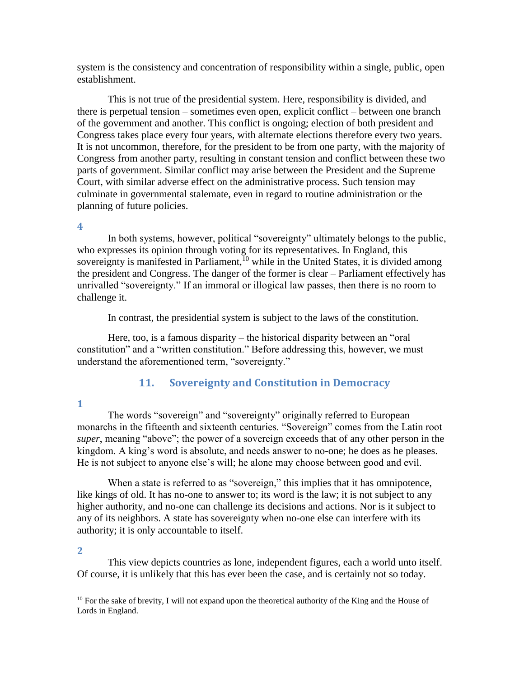system is the consistency and concentration of responsibility within a single, public, open establishment.

This is not true of the presidential system. Here, responsibility is divided, and there is perpetual tension – sometimes even open, explicit conflict – between one branch of the government and another. This conflict is ongoing; election of both president and Congress takes place every four years, with alternate elections therefore every two years. It is not uncommon, therefore, for the president to be from one party, with the majority of Congress from another party, resulting in constant tension and conflict between these two parts of government. Similar conflict may arise between the President and the Supreme Court, with similar adverse effect on the administrative process. Such tension may culminate in governmental stalemate, even in regard to routine administration or the planning of future policies.

## **4**

In both systems, however, political "sovereignty" ultimately belongs to the public, who expresses its opinion through voting for its representatives. In England, this sovereignty is manifested in Parliament,<sup>10</sup> while in the United States, it is divided among the president and Congress. The danger of the former is clear – Parliament effectively has unrivalled "sovereignty." If an immoral or illogical law passes, then there is no room to challenge it.

In contrast, the presidential system is subject to the laws of the constitution.

Here, too, is a famous disparity – the historical disparity between an "oral constitution" and a "written constitution." Before addressing this, however, we must understand the aforementioned term, "sovereignty."

## **11. Sovereignty and Constitution in Democracy**

## **1**

The words "sovereign" and "sovereignty" originally referred to European monarchs in the fifteenth and sixteenth centuries. "Sovereign" comes from the Latin root *super*, meaning "above"; the power of a sovereign exceeds that of any other person in the kingdom. A king's word is absolute, and needs answer to no-one; he does as he pleases. He is not subject to anyone else's will; he alone may choose between good and evil.

When a state is referred to as "sovereign," this implies that it has omnipotence, like kings of old. It has no-one to answer to; its word is the law; it is not subject to any higher authority, and no-one can challenge its decisions and actions. Nor is it subject to any of its neighbors. A state has sovereignty when no-one else can interfere with its authority; it is only accountable to itself.

## **2**

 $\overline{a}$ 

This view depicts countries as lone, independent figures, each a world unto itself. Of course, it is unlikely that this has ever been the case, and is certainly not so today.

 $10$  For the sake of brevity, I will not expand upon the theoretical authority of the King and the House of Lords in England.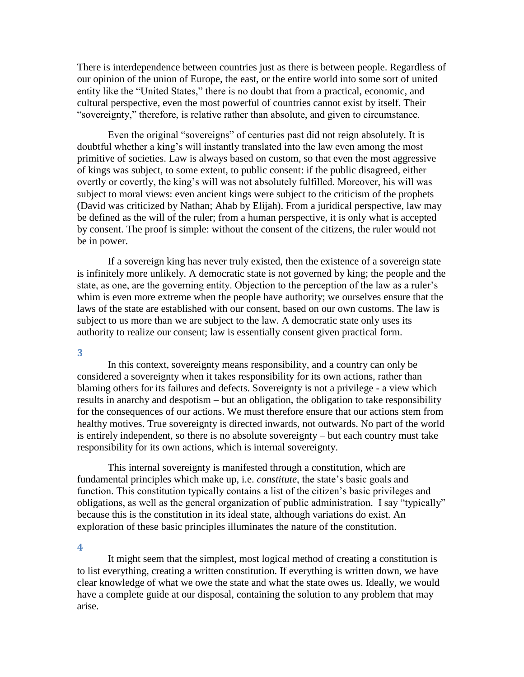There is interdependence between countries just as there is between people. Regardless of our opinion of the union of Europe, the east, or the entire world into some sort of united entity like the "United States," there is no doubt that from a practical, economic, and cultural perspective, even the most powerful of countries cannot exist by itself. Their "sovereignty," therefore, is relative rather than absolute, and given to circumstance.

Even the original "sovereigns" of centuries past did not reign absolutely. It is doubtful whether a king's will instantly translated into the law even among the most primitive of societies. Law is always based on custom, so that even the most aggressive of kings was subject, to some extent, to public consent: if the public disagreed, either overtly or covertly, the king's will was not absolutely fulfilled. Moreover, his will was subject to moral views: even ancient kings were subject to the criticism of the prophets (David was criticized by Nathan; Ahab by Elijah). From a juridical perspective, law may be defined as the will of the ruler; from a human perspective, it is only what is accepted by consent. The proof is simple: without the consent of the citizens, the ruler would not be in power.

If a sovereign king has never truly existed, then the existence of a sovereign state is infinitely more unlikely. A democratic state is not governed by king; the people and the state, as one, are the governing entity. Objection to the perception of the law as a ruler's whim is even more extreme when the people have authority; we ourselves ensure that the laws of the state are established with our consent, based on our own customs. The law is subject to us more than we are subject to the law. A democratic state only uses its authority to realize our consent; law is essentially consent given practical form.

## **3**

In this context, sovereignty means responsibility, and a country can only be considered a sovereignty when it takes responsibility for its own actions, rather than blaming others for its failures and defects. Sovereignty is not a privilege - a view which results in anarchy and despotism – but an obligation, the obligation to take responsibility for the consequences of our actions. We must therefore ensure that our actions stem from healthy motives. True sovereignty is directed inwards, not outwards. No part of the world is entirely independent, so there is no absolute sovereignty – but each country must take responsibility for its own actions, which is internal sovereignty.

This internal sovereignty is manifested through a constitution, which are fundamental principles which make up, i.e. *constitute*, the state's basic goals and function. This constitution typically contains a list of the citizen's basic privileges and obligations, as well as the general organization of public administration. I say "typically" because this is the constitution in its ideal state, although variations do exist. An exploration of these basic principles illuminates the nature of the constitution.

## **4**

It might seem that the simplest, most logical method of creating a constitution is to list everything, creating a written constitution. If everything is written down, we have clear knowledge of what we owe the state and what the state owes us. Ideally, we would have a complete guide at our disposal, containing the solution to any problem that may arise.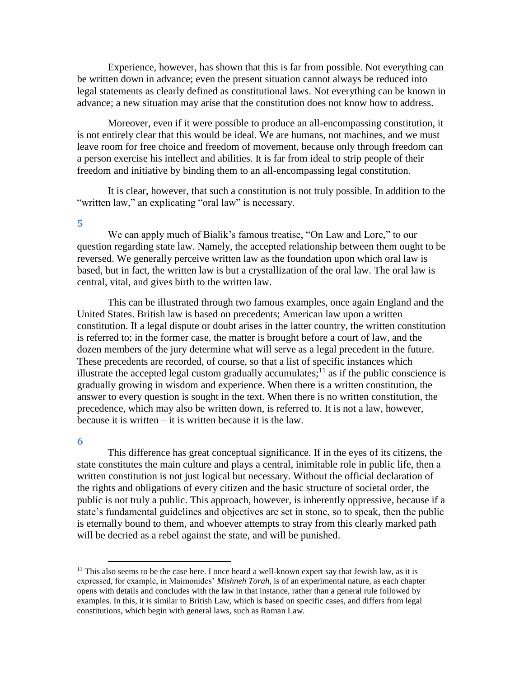Experience, however, has shown that this is far from possible. Not everything can be written down in advance; even the present situation cannot always be reduced into legal statements as clearly defined as constitutional laws. Not everything can be known in advance; a new situation may arise that the constitution does not know how to address.

Moreover, even if it were possible to produce an all-encompassing constitution, it is not entirely clear that this would be ideal. We are humans, not machines, and we must leave room for free choice and freedom of movement, because only through freedom can a person exercise his intellect and abilities. It is far from ideal to strip people of their freedom and initiative by binding them to an all-encompassing legal constitution.

It is clear, however, that such a constitution is not truly possible. In addition to the "written law," an explicating "oral law" is necessary.

#### **5**

We can apply much of Bialik's famous treatise, "On Law and Lore," to our question regarding state law. Namely, the accepted relationship between them ought to be reversed. We generally perceive written law as the foundation upon which oral law is based, but in fact, the written law is but a crystallization of the oral law. The oral law is central, vital, and gives birth to the written law.

This can be illustrated through two famous examples, once again England and the United States. British law is based on precedents; American law upon a written constitution. If a legal dispute or doubt arises in the latter country, the written constitution is referred to; in the former case, the matter is brought before a court of law, and the dozen members of the jury determine what will serve as a legal precedent in the future. These precedents are recorded, of course, so that a list of specific instances which illustrate the accepted legal custom gradually accumulates;  $11$  as if the public conscience is gradually growing in wisdom and experience. When there is a written constitution, the answer to every question is sought in the text. When there is no written constitution, the precedence, which may also be written down, is referred to. It is not a law, however, because it is written – it is written because it is the law.

#### **6**

 $\overline{a}$ 

This difference has great conceptual significance. If in the eyes of its citizens, the state constitutes the main culture and plays a central, inimitable role in public life, then a written constitution is not just logical but necessary. Without the official declaration of the rights and obligations of every citizen and the basic structure of societal order, the public is not truly a public. This approach, however, is inherently oppressive, because if a state's fundamental guidelines and objectives are set in stone, so to speak, then the public is eternally bound to them, and whoever attempts to stray from this clearly marked path will be decried as a rebel against the state, and will be punished.

 $11$  This also seems to be the case here. I once heard a well-known expert say that Jewish law, as it is expressed, for example, in Maimonides' *Mishneh Torah*, is of an experimental nature, as each chapter opens with details and concludes with the law in that instance, rather than a general rule followed by examples. In this, it is similar to British Law, which is based on specific cases, and differs from legal constitutions, which begin with general laws, such as Roman Law.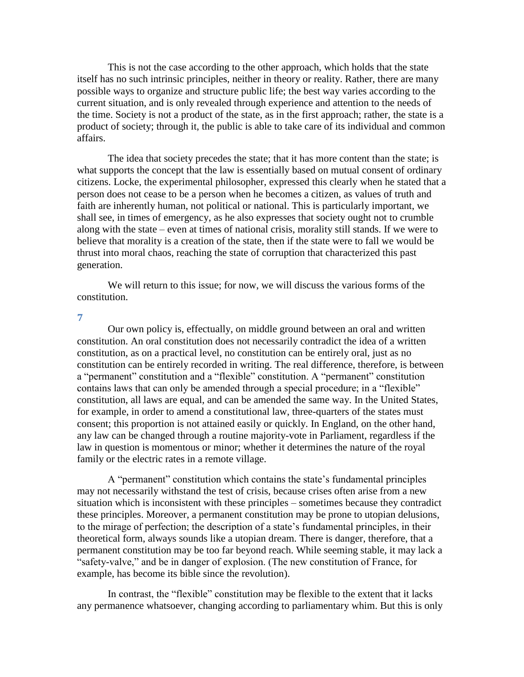This is not the case according to the other approach, which holds that the state itself has no such intrinsic principles, neither in theory or reality. Rather, there are many possible ways to organize and structure public life; the best way varies according to the current situation, and is only revealed through experience and attention to the needs of the time. Society is not a product of the state, as in the first approach; rather, the state is a product of society; through it, the public is able to take care of its individual and common affairs.

The idea that society precedes the state; that it has more content than the state; is what supports the concept that the law is essentially based on mutual consent of ordinary citizens. Locke, the experimental philosopher, expressed this clearly when he stated that a person does not cease to be a person when he becomes a citizen, as values of truth and faith are inherently human, not political or national. This is particularly important, we shall see, in times of emergency, as he also expresses that society ought not to crumble along with the state – even at times of national crisis, morality still stands. If we were to believe that morality is a creation of the state, then if the state were to fall we would be thrust into moral chaos, reaching the state of corruption that characterized this past generation.

We will return to this issue; for now, we will discuss the various forms of the constitution.

### **7**

Our own policy is, effectually, on middle ground between an oral and written constitution. An oral constitution does not necessarily contradict the idea of a written constitution, as on a practical level, no constitution can be entirely oral, just as no constitution can be entirely recorded in writing. The real difference, therefore, is between a "permanent" constitution and a "flexible" constitution. A "permanent" constitution contains laws that can only be amended through a special procedure; in a "flexible" constitution, all laws are equal, and can be amended the same way. In the United States, for example, in order to amend a constitutional law, three-quarters of the states must consent; this proportion is not attained easily or quickly. In England, on the other hand, any law can be changed through a routine majority-vote in Parliament, regardless if the law in question is momentous or minor; whether it determines the nature of the royal family or the electric rates in a remote village.

A "permanent" constitution which contains the state's fundamental principles may not necessarily withstand the test of crisis, because crises often arise from a new situation which is inconsistent with these principles – sometimes because they contradict these principles. Moreover, a permanent constitution may be prone to utopian delusions, to the mirage of perfection; the description of a state's fundamental principles, in their theoretical form, always sounds like a utopian dream. There is danger, therefore, that a permanent constitution may be too far beyond reach. While seeming stable, it may lack a "safety-valve," and be in danger of explosion. (The new constitution of France, for example, has become its bible since the revolution).

In contrast, the "flexible" constitution may be flexible to the extent that it lacks any permanence whatsoever, changing according to parliamentary whim. But this is only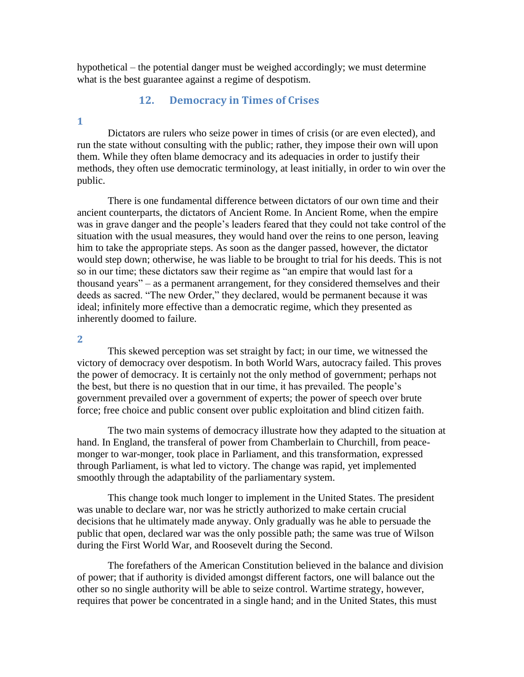hypothetical – the potential danger must be weighed accordingly; we must determine what is the best guarantee against a regime of despotism.

## **12. Democracy in Times of Crises**

### **1**

Dictators are rulers who seize power in times of crisis (or are even elected), and run the state without consulting with the public; rather, they impose their own will upon them. While they often blame democracy and its adequacies in order to justify their methods, they often use democratic terminology, at least initially, in order to win over the public.

There is one fundamental difference between dictators of our own time and their ancient counterparts, the dictators of Ancient Rome. In Ancient Rome, when the empire was in grave danger and the people's leaders feared that they could not take control of the situation with the usual measures, they would hand over the reins to one person, leaving him to take the appropriate steps. As soon as the danger passed, however, the dictator would step down; otherwise, he was liable to be brought to trial for his deeds. This is not so in our time; these dictators saw their regime as "an empire that would last for a thousand years" – as a permanent arrangement, for they considered themselves and their deeds as sacred. "The new Order," they declared, would be permanent because it was ideal; infinitely more effective than a democratic regime, which they presented as inherently doomed to failure.

### **2**

This skewed perception was set straight by fact; in our time, we witnessed the victory of democracy over despotism. In both World Wars, autocracy failed. This proves the power of democracy. It is certainly not the only method of government; perhaps not the best, but there is no question that in our time, it has prevailed. The people's government prevailed over a government of experts; the power of speech over brute force; free choice and public consent over public exploitation and blind citizen faith.

The two main systems of democracy illustrate how they adapted to the situation at hand. In England, the transferal of power from Chamberlain to Churchill, from peacemonger to war-monger, took place in Parliament, and this transformation, expressed through Parliament, is what led to victory. The change was rapid, yet implemented smoothly through the adaptability of the parliamentary system.

This change took much longer to implement in the United States. The president was unable to declare war, nor was he strictly authorized to make certain crucial decisions that he ultimately made anyway. Only gradually was he able to persuade the public that open, declared war was the only possible path; the same was true of Wilson during the First World War, and Roosevelt during the Second.

The forefathers of the American Constitution believed in the balance and division of power; that if authority is divided amongst different factors, one will balance out the other so no single authority will be able to seize control. Wartime strategy, however, requires that power be concentrated in a single hand; and in the United States, this must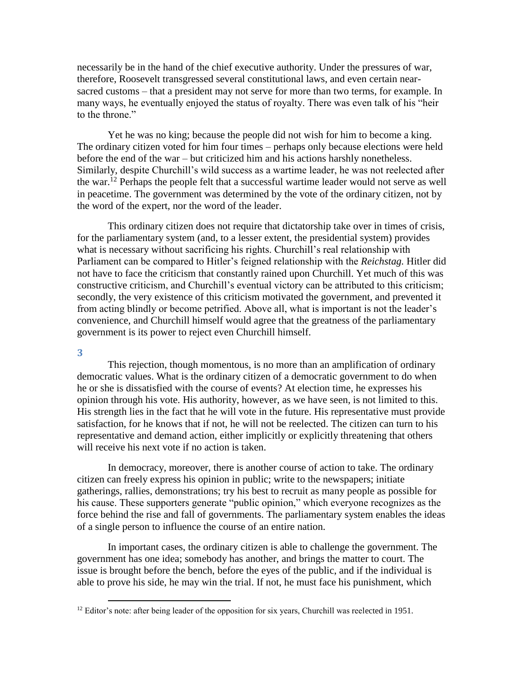necessarily be in the hand of the chief executive authority. Under the pressures of war, therefore, Roosevelt transgressed several constitutional laws, and even certain nearsacred customs – that a president may not serve for more than two terms, for example. In many ways, he eventually enjoyed the status of royalty. There was even talk of his "heir to the throne."

Yet he was no king; because the people did not wish for him to become a king. The ordinary citizen voted for him four times – perhaps only because elections were held before the end of the war – but criticized him and his actions harshly nonetheless. Similarly, despite Churchill's wild success as a wartime leader, he was not reelected after the war.<sup>12</sup> Perhaps the people felt that a successful wartime leader would not serve as well in peacetime. The government was determined by the vote of the ordinary citizen, not by the word of the expert, nor the word of the leader.

This ordinary citizen does not require that dictatorship take over in times of crisis, for the parliamentary system (and, to a lesser extent, the presidential system) provides what is necessary without sacrificing his rights. Churchill's real relationship with Parliament can be compared to Hitler's feigned relationship with the *Reichstag.* Hitler did not have to face the criticism that constantly rained upon Churchill. Yet much of this was constructive criticism, and Churchill's eventual victory can be attributed to this criticism; secondly, the very existence of this criticism motivated the government, and prevented it from acting blindly or become petrified. Above all, what is important is not the leader's convenience, and Churchill himself would agree that the greatness of the parliamentary government is its power to reject even Churchill himself.

## **3**

 $\overline{a}$ 

This rejection, though momentous, is no more than an amplification of ordinary democratic values. What is the ordinary citizen of a democratic government to do when he or she is dissatisfied with the course of events? At election time, he expresses his opinion through his vote. His authority, however, as we have seen, is not limited to this. His strength lies in the fact that he will vote in the future. His representative must provide satisfaction, for he knows that if not, he will not be reelected. The citizen can turn to his representative and demand action, either implicitly or explicitly threatening that others will receive his next vote if no action is taken.

In democracy, moreover, there is another course of action to take. The ordinary citizen can freely express his opinion in public; write to the newspapers; initiate gatherings, rallies, demonstrations; try his best to recruit as many people as possible for his cause. These supporters generate "public opinion," which everyone recognizes as the force behind the rise and fall of governments. The parliamentary system enables the ideas of a single person to influence the course of an entire nation.

In important cases, the ordinary citizen is able to challenge the government. The government has one idea; somebody has another, and brings the matter to court. The issue is brought before the bench, before the eyes of the public, and if the individual is able to prove his side, he may win the trial. If not, he must face his punishment, which

 $12$  Editor's note: after being leader of the opposition for six years, Churchill was reelected in 1951.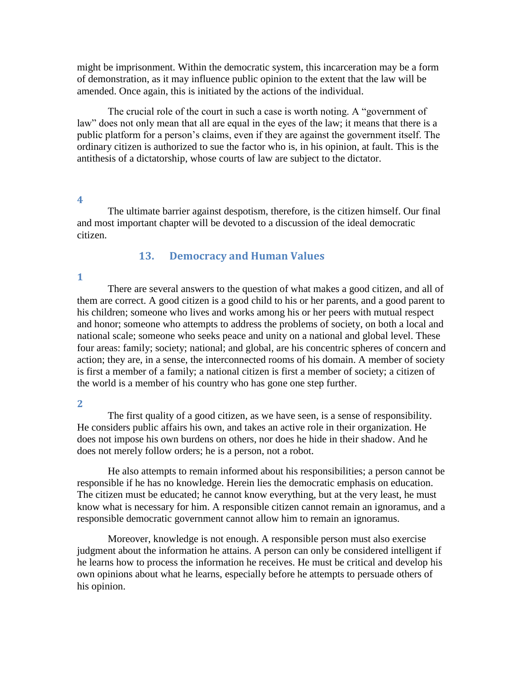might be imprisonment. Within the democratic system, this incarceration may be a form of demonstration, as it may influence public opinion to the extent that the law will be amended. Once again, this is initiated by the actions of the individual.

The crucial role of the court in such a case is worth noting. A "government of law" does not only mean that all are equal in the eyes of the law; it means that there is a public platform for a person's claims, even if they are against the government itself. The ordinary citizen is authorized to sue the factor who is, in his opinion, at fault. This is the antithesis of a dictatorship, whose courts of law are subject to the dictator.

### **4**

The ultimate barrier against despotism, therefore, is the citizen himself. Our final and most important chapter will be devoted to a discussion of the ideal democratic citizen.

## **13. Democracy and Human Values**

### **1**

There are several answers to the question of what makes a good citizen, and all of them are correct. A good citizen is a good child to his or her parents, and a good parent to his children; someone who lives and works among his or her peers with mutual respect and honor; someone who attempts to address the problems of society, on both a local and national scale; someone who seeks peace and unity on a national and global level. These four areas: family; society; national; and global, are his concentric spheres of concern and action; they are, in a sense, the interconnected rooms of his domain. A member of society is first a member of a family; a national citizen is first a member of society; a citizen of the world is a member of his country who has gone one step further.

#### **2**

The first quality of a good citizen, as we have seen, is a sense of responsibility. He considers public affairs his own, and takes an active role in their organization. He does not impose his own burdens on others, nor does he hide in their shadow. And he does not merely follow orders; he is a person, not a robot.

He also attempts to remain informed about his responsibilities; a person cannot be responsible if he has no knowledge. Herein lies the democratic emphasis on education. The citizen must be educated; he cannot know everything, but at the very least, he must know what is necessary for him. A responsible citizen cannot remain an ignoramus, and a responsible democratic government cannot allow him to remain an ignoramus.

Moreover, knowledge is not enough. A responsible person must also exercise judgment about the information he attains. A person can only be considered intelligent if he learns how to process the information he receives. He must be critical and develop his own opinions about what he learns, especially before he attempts to persuade others of his opinion.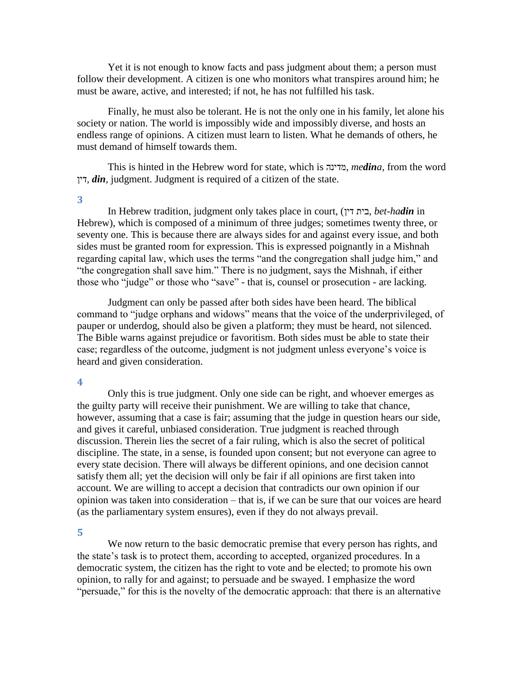Yet it is not enough to know facts and pass judgment about them; a person must follow their development. A citizen is one who monitors what transpires around him; he must be aware, active, and interested; if not, he has not fulfilled his task.

Finally, he must also be tolerant. He is not the only one in his family, let alone his society or nation. The world is impossibly wide and impossibly diverse, and hosts an endless range of opinions. A citizen must learn to listen. What he demands of others, he must demand of himself towards them.

This is hinted in the Hebrew word for state, which is מדינה, *medina*, from the word דין, *din,* judgment. Judgment is required of a citizen of the state.

**3**

In Hebrew tradition, judgment only takes place in court, (דין בית, *bet-hadin* in Hebrew), which is composed of a minimum of three judges; sometimes twenty three, or seventy one. This is because there are always sides for and against every issue, and both sides must be granted room for expression. This is expressed poignantly in a Mishnah regarding capital law, which uses the terms "and the congregation shall judge him," and "the congregation shall save him." There is no judgment, says the Mishnah, if either those who "judge" or those who "save" - that is, counsel or prosecution - are lacking.

Judgment can only be passed after both sides have been heard. The biblical command to "judge orphans and widows" means that the voice of the underprivileged, of pauper or underdog, should also be given a platform; they must be heard, not silenced. The Bible warns against prejudice or favoritism. Both sides must be able to state their case; regardless of the outcome, judgment is not judgment unless everyone's voice is heard and given consideration.

#### **4**

Only this is true judgment. Only one side can be right, and whoever emerges as the guilty party will receive their punishment. We are willing to take that chance, however, assuming that a case is fair; assuming that the judge in question hears our side, and gives it careful, unbiased consideration. True judgment is reached through discussion. Therein lies the secret of a fair ruling, which is also the secret of political discipline. The state, in a sense, is founded upon consent; but not everyone can agree to every state decision. There will always be different opinions, and one decision cannot satisfy them all; yet the decision will only be fair if all opinions are first taken into account. We are willing to accept a decision that contradicts our own opinion if our opinion was taken into consideration – that is, if we can be sure that our voices are heard (as the parliamentary system ensures), even if they do not always prevail.

**5**

We now return to the basic democratic premise that every person has rights, and the state's task is to protect them, according to accepted, organized procedures. In a democratic system, the citizen has the right to vote and be elected; to promote his own opinion, to rally for and against; to persuade and be swayed. I emphasize the word "persuade," for this is the novelty of the democratic approach: that there is an alternative